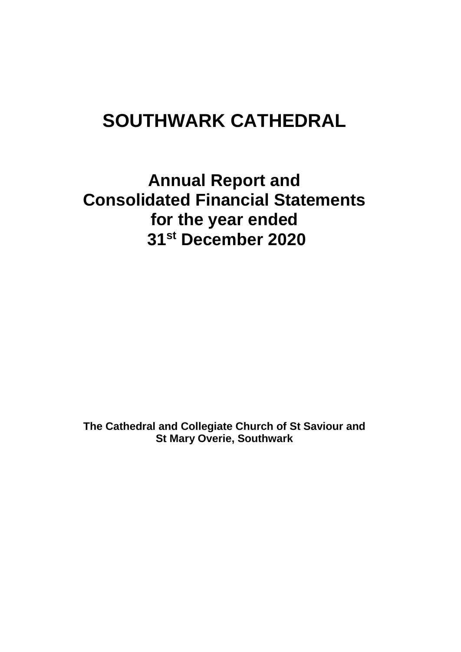# **SOUTHWARK CATHEDRAL**

**Annual Report and Consolidated Financial Statements for the year ended 31st December 2020**

**The Cathedral and Collegiate Church of St Saviour and St Mary Overie, Southwark**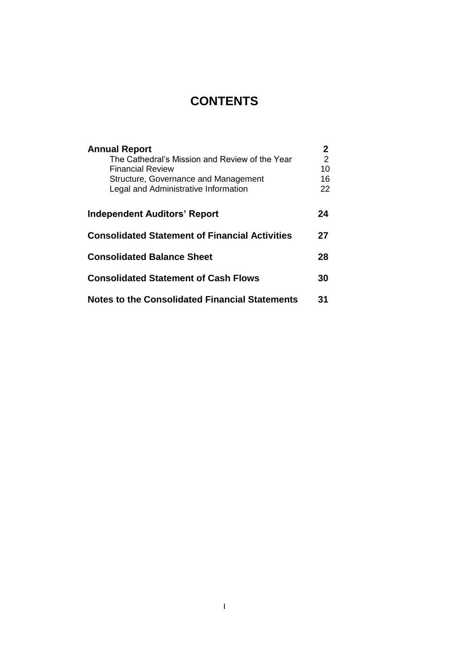## **CONTENTS**

| <b>Annual Report</b>                                  | $\mathbf{2}$   |
|-------------------------------------------------------|----------------|
| The Cathedral's Mission and Review of the Year        | $\overline{2}$ |
| <b>Financial Review</b>                               | 10             |
| Structure, Governance and Management                  | 16             |
| Legal and Administrative Information                  | 22             |
| <b>Independent Auditors' Report</b>                   | 24             |
| <b>Consolidated Statement of Financial Activities</b> | 27             |
| <b>Consolidated Balance Sheet</b>                     | 28             |
| <b>Consolidated Statement of Cash Flows</b>           | 30             |
| <b>Notes to the Consolidated Financial Statements</b> | 31             |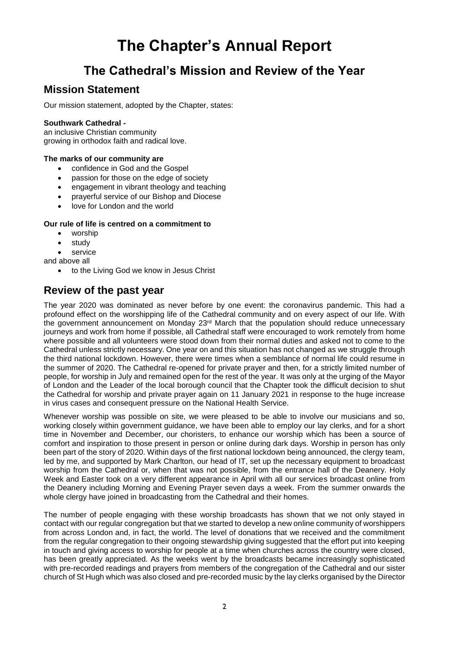# **The Chapter's Annual Report**

## **The Cathedral's Mission and Review of the Year**

## **Mission Statement**

Our mission statement, adopted by the Chapter, states:

#### **Southwark Cathedral -**

an inclusive Christian community growing in orthodox faith and radical love.

#### **The marks of our community are**

- confidence in God and the Gospel
- passion for those on the edge of society
- engagement in vibrant theology and teaching
- prayerful service of our Bishop and Diocese
- love for London and the world

### **Our rule of life is centred on a commitment to**

- worship
- study
- service

and above all

• to the Living God we know in Jesus Christ

## **Review of the past year**

The year 2020 was dominated as never before by one event: the coronavirus pandemic. This had a profound effect on the worshipping life of the Cathedral community and on every aspect of our life. With the government announcement on Monday 23rd March that the population should reduce unnecessary journeys and work from home if possible, all Cathedral staff were encouraged to work remotely from home where possible and all volunteers were stood down from their normal duties and asked not to come to the Cathedral unless strictly necessary. One year on and this situation has not changed as we struggle through the third national lockdown. However, there were times when a semblance of normal life could resume in the summer of 2020. The Cathedral re-opened for private prayer and then, for a strictly limited number of people, for worship in July and remained open for the rest of the year. It was only at the urging of the Mayor of London and the Leader of the local borough council that the Chapter took the difficult decision to shut the Cathedral for worship and private prayer again on 11 January 2021 in response to the huge increase in virus cases and consequent pressure on the National Health Service.

Whenever worship was possible on site, we were pleased to be able to involve our musicians and so, working closely within government guidance, we have been able to employ our lay clerks, and for a short time in November and December, our choristers, to enhance our worship which has been a source of comfort and inspiration to those present in person or online during dark days. Worship in person has only been part of the story of 2020. Within days of the first national lockdown being announced, the clergy team, led by me, and supported by Mark Charlton, our head of IT, set up the necessary equipment to broadcast worship from the Cathedral or, when that was not possible, from the entrance hall of the Deanery. Holy Week and Easter took on a very different appearance in April with all our services broadcast online from the Deanery including Morning and Evening Prayer seven days a week. From the summer onwards the whole clergy have joined in broadcasting from the Cathedral and their homes.

The number of people engaging with these worship broadcasts has shown that we not only stayed in contact with our regular congregation but that we started to develop a new online community of worshippers from across London and, in fact, the world. The level of donations that we received and the commitment from the regular congregation to their ongoing stewardship giving suggested that the effort put into keeping in touch and giving access to worship for people at a time when churches across the country were closed, has been greatly appreciated. As the weeks went by the broadcasts became increasingly sophisticated with pre-recorded readings and prayers from members of the congregation of the Cathedral and our sister church of St Hugh which was also closed and pre-recorded music by the lay clerks organised by the Director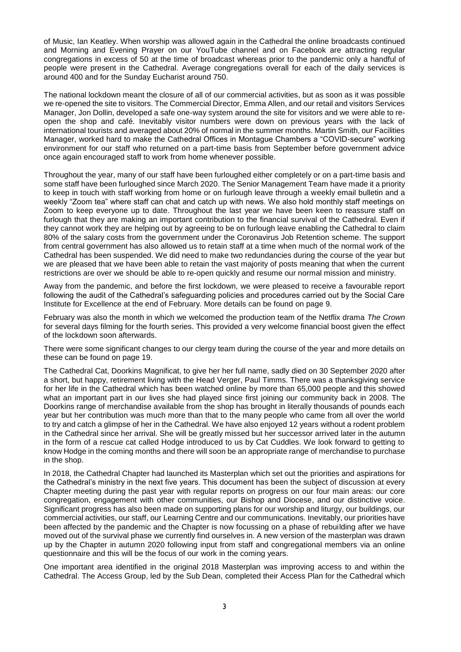of Music, Ian Keatley. When worship was allowed again in the Cathedral the online broadcasts continued and Morning and Evening Prayer on our YouTube channel and on Facebook are attracting regular congregations in excess of 50 at the time of broadcast whereas prior to the pandemic only a handful of people were present in the Cathedral. Average congregations overall for each of the daily services is around 400 and for the Sunday Eucharist around 750.

The national lockdown meant the closure of all of our commercial activities, but as soon as it was possible we re-opened the site to visitors. The Commercial Director, Emma Allen, and our retail and visitors Services Manager, Jon Dollin, developed a safe one-way system around the site for visitors and we were able to reopen the shop and café. Inevitably visitor numbers were down on previous years with the lack of international tourists and averaged about 20% of normal in the summer months. Martin Smith, our Facilities Manager, worked hard to make the Cathedral Offices in Montague Chambers a "COVID-secure" working environment for our staff who returned on a part-time basis from September before government advice once again encouraged staff to work from home whenever possible.

Throughout the year, many of our staff have been furloughed either completely or on a part-time basis and some staff have been furloughed since March 2020. The Senior Management Team have made it a priority to keep in touch with staff working from home or on furlough leave through a weekly email bulletin and a weekly "Zoom tea" where staff can chat and catch up with news. We also hold monthly staff meetings on Zoom to keep everyone up to date. Throughout the last year we have been keen to reassure staff on furlough that they are making an important contribution to the financial survival of the Cathedral. Even if they cannot work they are helping out by agreeing to be on furlough leave enabling the Cathedral to claim 80% of the salary costs from the government under the Coronavirus Job Retention scheme. The support from central government has also allowed us to retain staff at a time when much of the normal work of the Cathedral has been suspended. We did need to make two redundancies during the course of the year but we are pleased that we have been able to retain the vast majority of posts meaning that when the current restrictions are over we should be able to re-open quickly and resume our normal mission and ministry.

Away from the pandemic, and before the first lockdown, we were pleased to receive a favourable report following the audit of the Cathedral's safeguarding policies and procedures carried out by the Social Care Institute for Excellence at the end of February. More details can be found on page 9.

February was also the month in which we welcomed the production team of the Netflix drama *The Crown* for several days filming for the fourth series. This provided a very welcome financial boost given the effect of the lockdown soon afterwards.

There were some significant changes to our clergy team during the course of the year and more details on these can be found on page 19.

The Cathedral Cat, Doorkins Magnificat, to give her her full name, sadly died on 30 September 2020 after a short, but happy, retirement living with the Head Verger, Paul Timms. There was a thanksgiving service for her life in the Cathedral which has been watched online by more than 65,000 people and this showed what an important part in our lives she had played since first joining our community back in 2008. The Doorkins range of merchandise available from the shop has brought in literally thousands of pounds each year but her contribution was much more than that to the many people who came from all over the world to try and catch a glimpse of her in the Cathedral. We have also enjoyed 12 years without a rodent problem in the Cathedral since her arrival. She will be greatly missed but her successor arrived later in the autumn in the form of a rescue cat called Hodge introduced to us by Cat Cuddles. We look forward to getting to know Hodge in the coming months and there will soon be an appropriate range of merchandise to purchase in the shop.

In 2018, the Cathedral Chapter had launched its Masterplan which set out the priorities and aspirations for the Cathedral's ministry in the next five years. This document has been the subject of discussion at every Chapter meeting during the past year with regular reports on progress on our four main areas: our core congregation, engagement with other communities, our Bishop and Diocese, and our distinctive voice. Significant progress has also been made on supporting plans for our worship and liturgy, our buildings, our commercial activities, our staff, our Learning Centre and our communications. Inevitably, our priorities have been affected by the pandemic and the Chapter is now focussing on a phase of rebuilding after we have moved out of the survival phase we currently find ourselves in. A new version of the masterplan was drawn up by the Chapter in autumn 2020 following input from staff and congregational members via an online questionnaire and this will be the focus of our work in the coming years.

One important area identified in the original 2018 Masterplan was improving access to and within the Cathedral. The Access Group, led by the Sub Dean, completed their Access Plan for the Cathedral which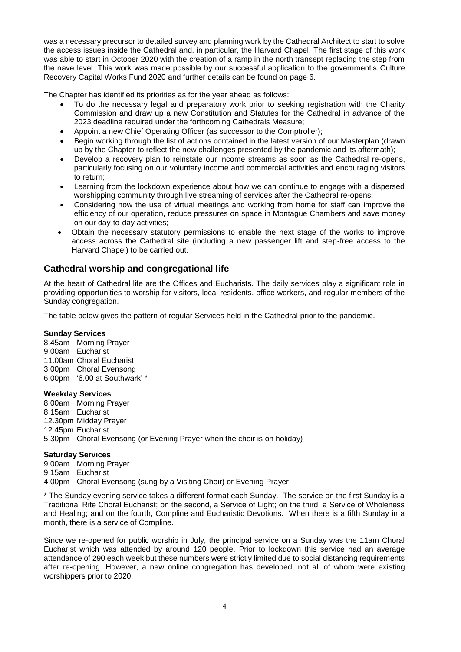was a necessary precursor to detailed survey and planning work by the Cathedral Architect to start to solve the access issues inside the Cathedral and, in particular, the Harvard Chapel. The first stage of this work was able to start in October 2020 with the creation of a ramp in the north transept replacing the step from the nave level. This work was made possible by our successful application to the government's Culture Recovery Capital Works Fund 2020 and further details can be found on page 6.

The Chapter has identified its priorities as for the year ahead as follows:

- To do the necessary legal and preparatory work prior to seeking registration with the Charity Commission and draw up a new Constitution and Statutes for the Cathedral in advance of the 2023 deadline required under the forthcoming Cathedrals Measure;
- Appoint a new Chief Operating Officer (as successor to the Comptroller);
- Begin working through the list of actions contained in the latest version of our Masterplan (drawn up by the Chapter to reflect the new challenges presented by the pandemic and its aftermath);
- Develop a recovery plan to reinstate our income streams as soon as the Cathedral re-opens, particularly focusing on our voluntary income and commercial activities and encouraging visitors to return;
- Learning from the lockdown experience about how we can continue to engage with a dispersed worshipping community through live streaming of services after the Cathedral re-opens;
- Considering how the use of virtual meetings and working from home for staff can improve the efficiency of our operation, reduce pressures on space in Montague Chambers and save money on our day-to-day activities;
- Obtain the necessary statutory permissions to enable the next stage of the works to improve access across the Cathedral site (including a new passenger lift and step-free access to the Harvard Chapel) to be carried out.

## **Cathedral worship and congregational life**

At the heart of Cathedral life are the Offices and Eucharists. The daily services play a significant role in providing opportunities to worship for visitors, local residents, office workers, and regular members of the Sunday congregation.

The table below gives the pattern of regular Services held in the Cathedral prior to the pandemic.

#### **Sunday Services**

8.45am Morning Prayer 9.00am Eucharist 11.00am Choral Eucharist 3.00pm Choral Evensong 6.00pm '6.00 at Southwark' \*

#### **Weekday Services**

8.00am Morning Prayer 8.15am Eucharist 12.30pm Midday Prayer 12.45pm Eucharist 5.30pm Choral Evensong (or Evening Prayer when the choir is on holiday)

#### **Saturday Services**

9.00am Morning Prayer

9.15am Eucharist

4.00pm Choral Evensong (sung by a Visiting Choir) or Evening Prayer

\* The Sunday evening service takes a different format each Sunday. The service on the first Sunday is a Traditional Rite Choral Eucharist; on the second, a Service of Light; on the third, a Service of Wholeness and Healing; and on the fourth, Compline and Eucharistic Devotions. When there is a fifth Sunday in a month, there is a service of Compline.

Since we re-opened for public worship in July, the principal service on a Sunday was the 11am Choral Eucharist which was attended by around 120 people. Prior to lockdown this service had an average attendance of 290 each week but these numbers were strictly limited due to social distancing requirements after re-opening. However, a new online congregation has developed, not all of whom were existing worshippers prior to 2020.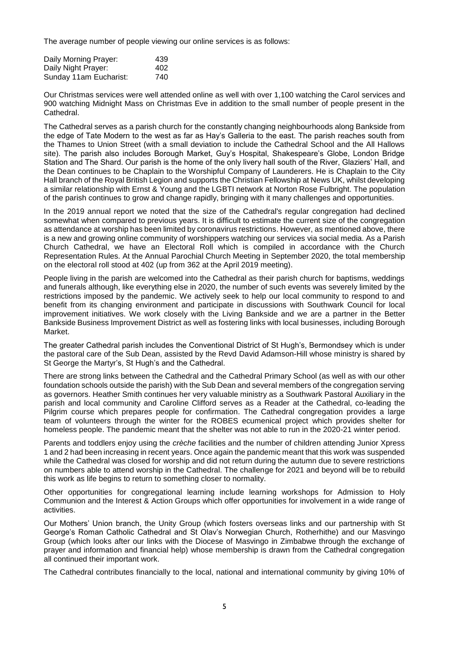The average number of people viewing our online services is as follows:

| Daily Morning Prayer:  | 439 |
|------------------------|-----|
| Daily Night Prayer:    | 402 |
| Sunday 11am Eucharist: | 740 |

Our Christmas services were well attended online as well with over 1,100 watching the Carol services and 900 watching Midnight Mass on Christmas Eve in addition to the small number of people present in the Cathedral.

The Cathedral serves as a parish church for the constantly changing neighbourhoods along Bankside from the edge of Tate Modern to the west as far as Hay's Galleria to the east. The parish reaches south from the Thames to Union Street (with a small deviation to include the Cathedral School and the All Hallows site). The parish also includes Borough Market, Guy's Hospital, Shakespeare's Globe, London Bridge Station and The Shard. Our parish is the home of the only livery hall south of the River, Glaziers' Hall, and the Dean continues to be Chaplain to the Worshipful Company of Launderers. He is Chaplain to the City Hall branch of the Royal British Legion and supports the Christian Fellowship at News UK, whilst developing a similar relationship with Ernst & Young and the LGBTI network at Norton Rose Fulbright. The population of the parish continues to grow and change rapidly, bringing with it many challenges and opportunities.

In the 2019 annual report we noted that the size of the Cathedral's regular congregation had declined somewhat when compared to previous years. It is difficult to estimate the current size of the congregation as attendance at worship has been limited by coronavirus restrictions. However, as mentioned above, there is a new and growing online community of worshippers watching our services via social media. As a Parish Church Cathedral, we have an Electoral Roll which is compiled in accordance with the Church Representation Rules. At the Annual Parochial Church Meeting in September 2020, the total membership on the electoral roll stood at 402 (up from 362 at the April 2019 meeting).

People living in the parish are welcomed into the Cathedral as their parish church for baptisms, weddings and funerals although, like everything else in 2020, the number of such events was severely limited by the restrictions imposed by the pandemic. We actively seek to help our local community to respond to and benefit from its changing environment and participate in discussions with Southwark Council for local improvement initiatives. We work closely with the Living Bankside and we are a partner in the Better Bankside Business Improvement District as well as fostering links with local businesses, including Borough Market.

The greater Cathedral parish includes the Conventional District of St Hugh's, Bermondsey which is under the pastoral care of the Sub Dean, assisted by the Revd David Adamson-Hill whose ministry is shared by St George the Martyr's, St Hugh's and the Cathedral.

There are strong links between the Cathedral and the Cathedral Primary School (as well as with our other foundation schools outside the parish) with the Sub Dean and several members of the congregation serving as governors. Heather Smith continues her very valuable ministry as a Southwark Pastoral Auxiliary in the parish and local community and Caroline Clifford serves as a Reader at the Cathedral, co-leading the Pilgrim course which prepares people for confirmation. The Cathedral congregation provides a large team of volunteers through the winter for the ROBES ecumenical project which provides shelter for homeless people. The pandemic meant that the shelter was not able to run in the 2020-21 winter period.

Parents and toddlers enjoy using the *crèche* facilities and the number of children attending Junior Xpress 1 and 2 had been increasing in recent years. Once again the pandemic meant that this work was suspended while the Cathedral was closed for worship and did not return during the autumn due to severe restrictions on numbers able to attend worship in the Cathedral. The challenge for 2021 and beyond will be to rebuild this work as life begins to return to something closer to normality.

Other opportunities for congregational learning include learning workshops for Admission to Holy Communion and the Interest & Action Groups which offer opportunities for involvement in a wide range of activities.

Our Mothers' Union branch, the Unity Group (which fosters overseas links and our partnership with St George's Roman Catholic Cathedral and St Olav's Norwegian Church, Rotherhithe) and our Masvingo Group (which looks after our links with the Diocese of Masvingo in Zimbabwe through the exchange of prayer and information and financial help) whose membership is drawn from the Cathedral congregation all continued their important work.

The Cathedral contributes financially to the local, national and international community by giving 10% of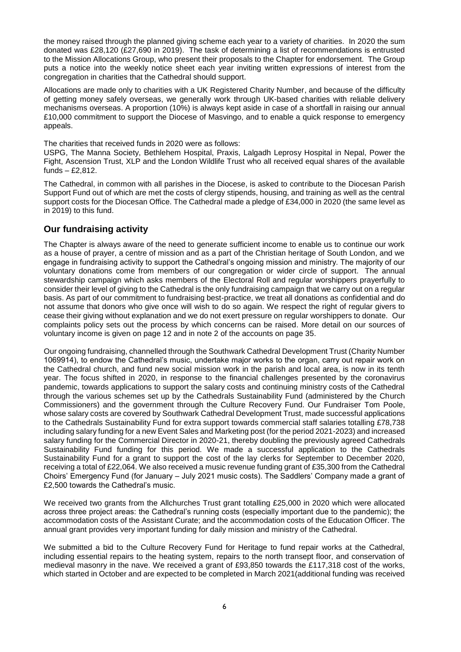the money raised through the planned giving scheme each year to a variety of charities. In 2020 the sum donated was £28,120 (£27,690 in 2019). The task of determining a list of recommendations is entrusted to the Mission Allocations Group, who present their proposals to the Chapter for endorsement. The Group puts a notice into the weekly notice sheet each year inviting written expressions of interest from the congregation in charities that the Cathedral should support.

Allocations are made only to charities with a UK Registered Charity Number, and because of the difficulty of getting money safely overseas, we generally work through UK-based charities with reliable delivery mechanisms overseas. A proportion (10%) is always kept aside in case of a shortfall in raising our annual £10,000 commitment to support the Diocese of Masvingo, and to enable a quick response to emergency appeals.

The charities that received funds in 2020 were as follows:

USPG, The Manna Society, Bethlehem Hospital, Praxis, Lalgadh Leprosy Hospital in Nepal, Power the Fight, Ascension Trust, XLP and the London Wildlife Trust who all received equal shares of the available funds – £2,812.

The Cathedral, in common with all parishes in the Diocese, is asked to contribute to the Diocesan Parish Support Fund out of which are met the costs of clergy stipends, housing, and training as well as the central support costs for the Diocesan Office. The Cathedral made a pledge of £34,000 in 2020 (the same level as in 2019) to this fund.

## **Our fundraising activity**

The Chapter is always aware of the need to generate sufficient income to enable us to continue our work as a house of prayer, a centre of mission and as a part of the Christian heritage of South London, and we engage in fundraising activity to support the Cathedral's ongoing mission and ministry. The majority of our voluntary donations come from members of our congregation or wider circle of support. The annual stewardship campaign which asks members of the Electoral Roll and regular worshippers prayerfully to consider their level of giving to the Cathedral is the only fundraising campaign that we carry out on a regular basis. As part of our commitment to fundraising best-practice, we treat all donations as confidential and do not assume that donors who give once will wish to do so again. We respect the right of regular givers to cease their giving without explanation and we do not exert pressure on regular worshippers to donate. Our complaints policy sets out the process by which concerns can be raised. More detail on our sources of voluntary income is given on page 12 and in note 2 of the accounts on page 35.

Our ongoing fundraising, channelled through the Southwark Cathedral Development Trust (Charity Number 1069914), to endow the Cathedral's music, undertake major works to the organ, carry out repair work on the Cathedral church, and fund new social mission work in the parish and local area, is now in its tenth year. The focus shifted in 2020, in response to the financial challenges presented by the coronavirus pandemic, towards applications to support the salary costs and continuing ministry costs of the Cathedral through the various schemes set up by the Cathedrals Sustainability Fund (administered by the Church Commissioners) and the government through the Culture Recovery Fund. Our Fundraiser Tom Poole, whose salary costs are covered by Southwark Cathedral Development Trust, made successful applications to the Cathedrals Sustainability Fund for extra support towards commercial staff salaries totalling £78,738 including salary funding for a new Event Sales and Marketing post (for the period 2021-2023) and increased salary funding for the Commercial Director in 2020-21, thereby doubling the previously agreed Cathedrals Sustainability Fund funding for this period. We made a successful application to the Cathedrals Sustainability Fund for a grant to support the cost of the lay clerks for September to December 2020, receiving a total of £22,064. We also received a music revenue funding grant of £35,300 from the Cathedral Choirs' Emergency Fund (for January – July 2021 music costs). The Saddlers' Company made a grant of £2,500 towards the Cathedral's music.

We received two grants from the Allchurches Trust grant totalling £25,000 in 2020 which were allocated across three project areas: the Cathedral's running costs (especially important due to the pandemic); the accommodation costs of the Assistant Curate; and the accommodation costs of the Education Officer. The annual grant provides very important funding for daily mission and ministry of the Cathedral.

We submitted a bid to the Culture Recovery Fund for Heritage to fund repair works at the Cathedral, including essential repairs to the heating system, repairs to the north transept floor, and conservation of medieval masonry in the nave. We received a grant of £93,850 towards the £117,318 cost of the works, which started in October and are expected to be completed in March 2021(additional funding was received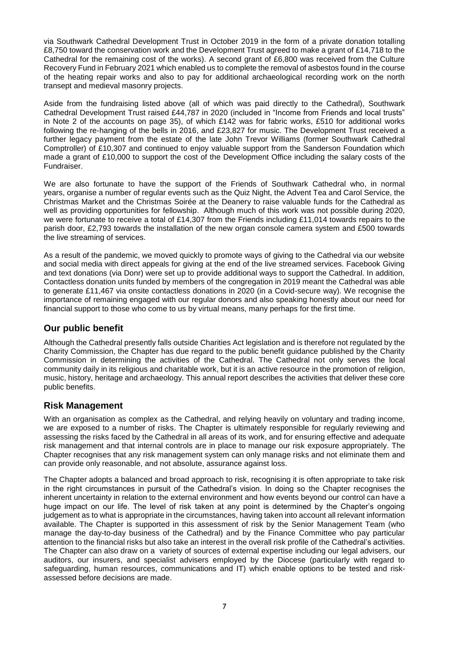via Southwark Cathedral Development Trust in October 2019 in the form of a private donation totalling £8,750 toward the conservation work and the Development Trust agreed to make a grant of £14,718 to the Cathedral for the remaining cost of the works). A second grant of £6,800 was received from the Culture Recovery Fund in February 2021 which enabled us to complete the removal of asbestos found in the course of the heating repair works and also to pay for additional archaeological recording work on the north transept and medieval masonry projects.

Aside from the fundraising listed above (all of which was paid directly to the Cathedral), Southwark Cathedral Development Trust raised £44,787 in 2020 (included in "Income from Friends and local trusts" in Note 2 of the accounts on page 35), of which £142 was for fabric works, £510 for additional works following the re-hanging of the bells in 2016, and £23,827 for music. The Development Trust received a further legacy payment from the estate of the late John Trevor Williams (former Southwark Cathedral Comptroller) of £10,307 and continued to enjoy valuable support from the Sanderson Foundation which made a grant of £10,000 to support the cost of the Development Office including the salary costs of the Fundraiser.

We are also fortunate to have the support of the Friends of Southwark Cathedral who, in normal years, organise a number of regular events such as the Quiz Night, the Advent Tea and Carol Service, the Christmas Market and the Christmas Soirée at the Deanery to raise valuable funds for the Cathedral as well as providing opportunities for fellowship. Although much of this work was not possible during 2020, we were fortunate to receive a total of £14,307 from the Friends including £11,014 towards repairs to the parish door, £2,793 towards the installation of the new organ console camera system and £500 towards the live streaming of services.

As a result of the pandemic, we moved quickly to promote ways of giving to the Cathedral via our website and social media with direct appeals for giving at the end of the live streamed services. Facebook Giving and text donations (via Donr) were set up to provide additional ways to support the Cathedral. In addition, Contactless donation units funded by members of the congregation in 2019 meant the Cathedral was able to generate £11,467 via onsite contactless donations in 2020 (in a Covid-secure way). We recognise the importance of remaining engaged with our regular donors and also speaking honestly about our need for financial support to those who come to us by virtual means, many perhaps for the first time.

## **Our public benefit**

Although the Cathedral presently falls outside Charities Act legislation and is therefore not regulated by the Charity Commission, the Chapter has due regard to the public benefit guidance published by the Charity Commission in determining the activities of the Cathedral. The Cathedral not only serves the local community daily in its religious and charitable work, but it is an active resource in the promotion of religion, music, history, heritage and archaeology. This annual report describes the activities that deliver these core public benefits.

## **Risk Management**

With an organisation as complex as the Cathedral, and relying heavily on voluntary and trading income, we are exposed to a number of risks. The Chapter is ultimately responsible for regularly reviewing and assessing the risks faced by the Cathedral in all areas of its work, and for ensuring effective and adequate risk management and that internal controls are in place to manage our risk exposure appropriately. The Chapter recognises that any risk management system can only manage risks and not eliminate them and can provide only reasonable, and not absolute, assurance against loss.

The Chapter adopts a balanced and broad approach to risk, recognising it is often appropriate to take risk in the right circumstances in pursuit of the Cathedral's vision. In doing so the Chapter recognises the inherent uncertainty in relation to the external environment and how events beyond our control can have a huge impact on our life. The level of risk taken at any point is determined by the Chapter's ongoing judgement as to what is appropriate in the circumstances, having taken into account all relevant information available. The Chapter is supported in this assessment of risk by the Senior Management Team (who manage the day-to-day business of the Cathedral) and by the Finance Committee who pay particular attention to the financial risks but also take an interest in the overall risk profile of the Cathedral's activities. The Chapter can also draw on a variety of sources of external expertise including our legal advisers, our auditors, our insurers, and specialist advisers employed by the Diocese (particularly with regard to safeguarding, human resources, communications and IT) which enable options to be tested and riskassessed before decisions are made.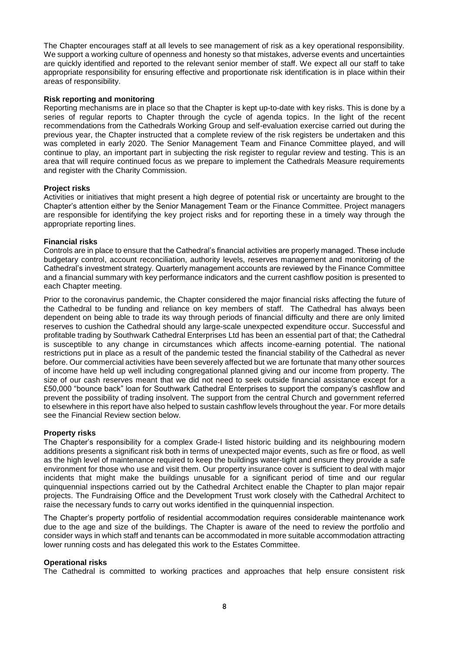The Chapter encourages staff at all levels to see management of risk as a key operational responsibility. We support a working culture of openness and honesty so that mistakes, adverse events and uncertainties are quickly identified and reported to the relevant senior member of staff. We expect all our staff to take appropriate responsibility for ensuring effective and proportionate risk identification is in place within their areas of responsibility.

#### **Risk reporting and monitoring**

Reporting mechanisms are in place so that the Chapter is kept up-to-date with key risks. This is done by a series of regular reports to Chapter through the cycle of agenda topics. In the light of the recent recommendations from the Cathedrals Working Group and self-evaluation exercise carried out during the previous year, the Chapter instructed that a complete review of the risk registers be undertaken and this was completed in early 2020. The Senior Management Team and Finance Committee played, and will continue to play, an important part in subjecting the risk register to regular review and testing. This is an area that will require continued focus as we prepare to implement the Cathedrals Measure requirements and register with the Charity Commission.

#### **Project risks**

Activities or initiatives that might present a high degree of potential risk or uncertainty are brought to the Chapter's attention either by the Senior Management Team or the Finance Committee. Project managers are responsible for identifying the key project risks and for reporting these in a timely way through the appropriate reporting lines.

#### **Financial risks**

Controls are in place to ensure that the Cathedral's financial activities are properly managed. These include budgetary control, account reconciliation, authority levels, reserves management and monitoring of the Cathedral's investment strategy. Quarterly management accounts are reviewed by the Finance Committee and a financial summary with key performance indicators and the current cashflow position is presented to each Chapter meeting.

Prior to the coronavirus pandemic, the Chapter considered the major financial risks affecting the future of the Cathedral to be funding and reliance on key members of staff. The Cathedral has always been dependent on being able to trade its way through periods of financial difficulty and there are only limited reserves to cushion the Cathedral should any large-scale unexpected expenditure occur. Successful and profitable trading by Southwark Cathedral Enterprises Ltd has been an essential part of that; the Cathedral is susceptible to any change in circumstances which affects income-earning potential. The national restrictions put in place as a result of the pandemic tested the financial stability of the Cathedral as never before. Our commercial activities have been severely affected but we are fortunate that many other sources of income have held up well including congregational planned giving and our income from property. The size of our cash reserves meant that we did not need to seek outside financial assistance except for a £50,000 "bounce back" loan for Southwark Cathedral Enterprises to support the company's cashflow and prevent the possibility of trading insolvent. The support from the central Church and government referred to elsewhere in this report have also helped to sustain cashflow levels throughout the year. For more details see the Financial Review section below.

#### **Property risks**

The Chapter's responsibility for a complex Grade-I listed historic building and its neighbouring modern additions presents a significant risk both in terms of unexpected major events, such as fire or flood, as well as the high level of maintenance required to keep the buildings water-tight and ensure they provide a safe environment for those who use and visit them. Our property insurance cover is sufficient to deal with major incidents that might make the buildings unusable for a significant period of time and our regular quinquennial inspections carried out by the Cathedral Architect enable the Chapter to plan major repair projects. The Fundraising Office and the Development Trust work closely with the Cathedral Architect to raise the necessary funds to carry out works identified in the quinquennial inspection.

The Chapter's property portfolio of residential accommodation requires considerable maintenance work due to the age and size of the buildings. The Chapter is aware of the need to review the portfolio and consider ways in which staff and tenants can be accommodated in more suitable accommodation attracting lower running costs and has delegated this work to the Estates Committee.

#### **Operational risks**

The Cathedral is committed to working practices and approaches that help ensure consistent risk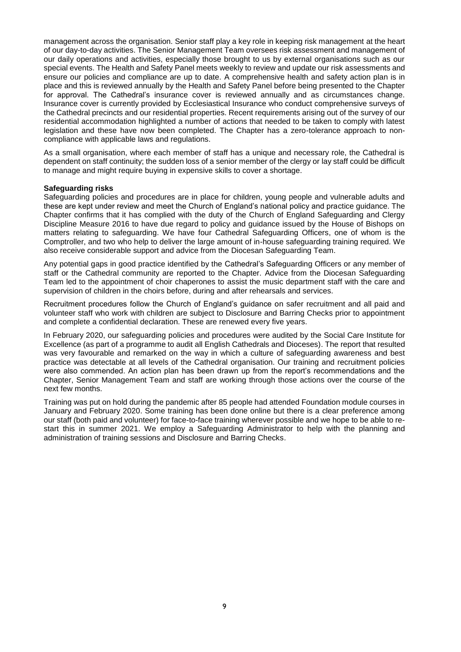management across the organisation. Senior staff play a key role in keeping risk management at the heart of our day-to-day activities. The Senior Management Team oversees risk assessment and management of our daily operations and activities, especially those brought to us by external organisations such as our special events. The Health and Safety Panel meets weekly to review and update our risk assessments and ensure our policies and compliance are up to date. A comprehensive health and safety action plan is in place and this is reviewed annually by the Health and Safety Panel before being presented to the Chapter for approval. The Cathedral's insurance cover is reviewed annually and as circumstances change. Insurance cover is currently provided by Ecclesiastical Insurance who conduct comprehensive surveys of the Cathedral precincts and our residential properties. Recent requirements arising out of the survey of our residential accommodation highlighted a number of actions that needed to be taken to comply with latest legislation and these have now been completed. The Chapter has a zero-tolerance approach to noncompliance with applicable laws and regulations.

As a small organisation, where each member of staff has a unique and necessary role, the Cathedral is dependent on staff continuity; the sudden loss of a senior member of the clergy or lay staff could be difficult to manage and might require buying in expensive skills to cover a shortage.

#### **Safeguarding risks**

Safeguarding policies and procedures are in place for children, young people and vulnerable adults and these are kept under review and meet the Church of England's national policy and practice guidance. The Chapter confirms that it has complied with the duty of the Church of England Safeguarding and Clergy Discipline Measure 2016 to have due regard to policy and guidance issued by the House of Bishops on matters relating to safeguarding. We have four Cathedral Safeguarding Officers, one of whom is the Comptroller, and two who help to deliver the large amount of in-house safeguarding training required. We also receive considerable support and advice from the Diocesan Safeguarding Team.

Any potential gaps in good practice identified by the Cathedral's Safeguarding Officers or any member of staff or the Cathedral community are reported to the Chapter. Advice from the Diocesan Safeguarding Team led to the appointment of choir chaperones to assist the music department staff with the care and supervision of children in the choirs before, during and after rehearsals and services.

Recruitment procedures follow the Church of England's guidance on safer recruitment and all paid and volunteer staff who work with children are subject to Disclosure and Barring Checks prior to appointment and complete a confidential declaration. These are renewed every five years.

In February 2020, our safeguarding policies and procedures were audited by the Social Care Institute for Excellence (as part of a programme to audit all English Cathedrals and Dioceses). The report that resulted was very favourable and remarked on the way in which a culture of safeguarding awareness and best practice was detectable at all levels of the Cathedral organisation. Our training and recruitment policies were also commended. An action plan has been drawn up from the report's recommendations and the Chapter, Senior Management Team and staff are working through those actions over the course of the next few months.

Training was put on hold during the pandemic after 85 people had attended Foundation module courses in January and February 2020. Some training has been done online but there is a clear preference among our staff (both paid and volunteer) for face-to-face training wherever possible and we hope to be able to restart this in summer 2021. We employ a Safeguarding Administrator to help with the planning and administration of training sessions and Disclosure and Barring Checks.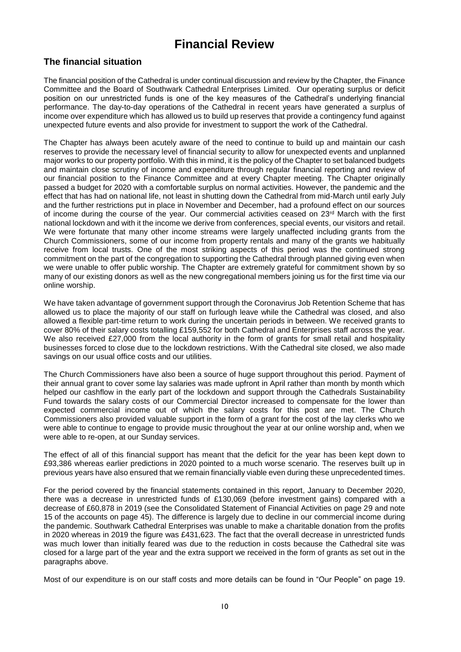## **Financial Review**

## **The financial situation**

The financial position of the Cathedral is under continual discussion and review by the Chapter, the Finance Committee and the Board of Southwark Cathedral Enterprises Limited. Our operating surplus or deficit position on our unrestricted funds is one of the key measures of the Cathedral's underlying financial performance. The day-to-day operations of the Cathedral in recent years have generated a surplus of income over expenditure which has allowed us to build up reserves that provide a contingency fund against unexpected future events and also provide for investment to support the work of the Cathedral.

The Chapter has always been acutely aware of the need to continue to build up and maintain our cash reserves to provide the necessary level of financial security to allow for unexpected events and unplanned major works to our property portfolio. With this in mind, it is the policy of the Chapter to set balanced budgets and maintain close scrutiny of income and expenditure through regular financial reporting and review of our financial position to the Finance Committee and at every Chapter meeting. The Chapter originally passed a budget for 2020 with a comfortable surplus on normal activities. However, the pandemic and the effect that has had on national life, not least in shutting down the Cathedral from mid-March until early July and the further restrictions put in place in November and December, had a profound effect on our sources of income during the course of the year. Our commercial activities ceased on  $23<sup>rd</sup>$  March with the first national lockdown and with it the income we derive from conferences, special events, our visitors and retail. We were fortunate that many other income streams were largely unaffected including grants from the Church Commissioners, some of our income from property rentals and many of the grants we habitually receive from local trusts. One of the most striking aspects of this period was the continued strong commitment on the part of the congregation to supporting the Cathedral through planned giving even when we were unable to offer public worship. The Chapter are extremely grateful for commitment shown by so many of our existing donors as well as the new congregational members joining us for the first time via our online worship.

We have taken advantage of government support through the Coronavirus Job Retention Scheme that has allowed us to place the majority of our staff on furlough leave while the Cathedral was closed, and also allowed a flexible part-time return to work during the uncertain periods in between. We received grants to cover 80% of their salary costs totalling £159,552 for both Cathedral and Enterprises staff across the year. We also received £27,000 from the local authority in the form of grants for small retail and hospitality businesses forced to close due to the lockdown restrictions. With the Cathedral site closed, we also made savings on our usual office costs and our utilities.

The Church Commissioners have also been a source of huge support throughout this period. Payment of their annual grant to cover some lay salaries was made upfront in April rather than month by month which helped our cashflow in the early part of the lockdown and support through the Cathedrals Sustainability Fund towards the salary costs of our Commercial Director increased to compensate for the lower than expected commercial income out of which the salary costs for this post are met. The Church Commissioners also provided valuable support in the form of a grant for the cost of the lay clerks who we were able to continue to engage to provide music throughout the year at our online worship and, when we were able to re-open, at our Sunday services.

The effect of all of this financial support has meant that the deficit for the year has been kept down to £93,386 whereas earlier predictions in 2020 pointed to a much worse scenario. The reserves built up in previous years have also ensured that we remain financially viable even during these unprecedented times.

For the period covered by the financial statements contained in this report, January to December 2020, there was a decrease in unrestricted funds of £130,069 (before investment gains) compared with a decrease of £60,878 in 2019 (see the Consolidated Statement of Financial Activities on page 29 and note 15 of the accounts on page 45). The difference is largely due to decline in our commercial income during the pandemic. Southwark Cathedral Enterprises was unable to make a charitable donation from the profits in 2020 whereas in 2019 the figure was £431,623. The fact that the overall decrease in unrestricted funds was much lower than initially feared was due to the reduction in costs because the Cathedral site was closed for a large part of the year and the extra support we received in the form of grants as set out in the paragraphs above.

Most of our expenditure is on our staff costs and more details can be found in "Our People" on page 19.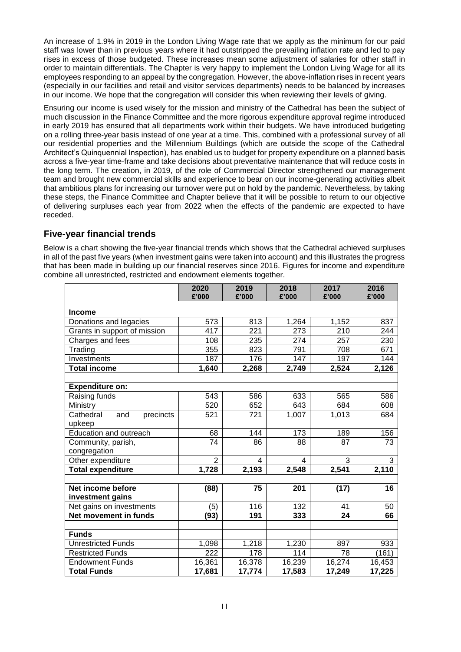An increase of 1.9% in 2019 in the London Living Wage rate that we apply as the minimum for our paid staff was lower than in previous years where it had outstripped the prevailing inflation rate and led to pay rises in excess of those budgeted. These increases mean some adjustment of salaries for other staff in order to maintain differentials. The Chapter is very happy to implement the London Living Wage for all its employees responding to an appeal by the congregation. However, the above-inflation rises in recent years (especially in our facilities and retail and visitor services departments) needs to be balanced by increases in our income. We hope that the congregation will consider this when reviewing their levels of giving.

Ensuring our income is used wisely for the mission and ministry of the Cathedral has been the subject of much discussion in the Finance Committee and the more rigorous expenditure approval regime introduced in early 2019 has ensured that all departments work within their budgets. We have introduced budgeting on a rolling three-year basis instead of one year at a time. This, combined with a professional survey of all our residential properties and the Millennium Buildings (which are outside the scope of the Cathedral Architect's Quinquennial Inspection), has enabled us to budget for property expenditure on a planned basis across a five-year time-frame and take decisions about preventative maintenance that will reduce costs in the long term. The creation, in 2019, of the role of Commercial Director strengthened our management team and brought new commercial skills and experience to bear on our income-generating activities albeit that ambitious plans for increasing our turnover were put on hold by the pandemic. Nevertheless, by taking these steps, the Finance Committee and Chapter believe that it will be possible to return to our objective of delivering surpluses each year from 2022 when the effects of the pandemic are expected to have receded.

## **Five-year financial trends**

Below is a chart showing the five-year financial trends which shows that the Cathedral achieved surpluses in all of the past five years (when investment gains were taken into account) and this illustrates the progress that has been made in building up our financial reserves since 2016. Figures for income and expenditure combine all unrestricted, restricted and endowment elements together.

|                               | 2020<br>£'000  | 2019<br>£'000 | 2018<br>£'000 | 2017<br>£'000 | 2016<br>£'000 |
|-------------------------------|----------------|---------------|---------------|---------------|---------------|
|                               |                |               |               |               |               |
| <b>Income</b>                 |                |               |               |               |               |
| Donations and legacies        | 573            | 813           | 1,264         | 1,152         | 837           |
| Grants in support of mission  | 417            | 221           | 273           | 210           | 244           |
| Charges and fees              | 108            | 235           | 274           | 257           | 230           |
| Trading                       | 355            | 823           | 791           | 708           | 671           |
| Investments                   | 187            | 176           | 147           | 197           | 144           |
| <b>Total income</b>           | 1,640          | 2,268         | 2,749         | 2,524         | 2,126         |
|                               |                |               |               |               |               |
| <b>Expenditure on:</b>        |                |               |               |               |               |
| Raising funds                 | 543            | 586           | 633           | 565           | 586           |
| Ministry                      | 520            | 652           | 643           | 684           | 608           |
| Cathedral<br>precincts<br>and | 521            | 721           | 1,007         | 1,013         | 684           |
| upkeep                        |                |               |               |               |               |
| Education and outreach        | 68             | 144           | 173           | 189           | 156           |
| Community, parish,            | 74             | 86            | 88            | 87            | 73            |
| congregation                  |                |               |               |               |               |
| Other expenditure             | $\overline{2}$ | 4             | 4             | 3             | 3             |
| <b>Total expenditure</b>      | 1,728          | 2,193         | 2,548         | 2,541         | 2,110         |
|                               |                |               |               |               |               |
| Net income before             | (88)           | 75            | 201           | (17)          | 16            |
| investment gains              |                |               |               |               |               |
| Net gains on investments      | (5)            | 116           | 132           | 41            | 50            |
| Net movement in funds         | (93)           | 191           | 333           | 24            | 66            |
|                               |                |               |               |               |               |
| <b>Funds</b>                  |                |               |               |               |               |
| <b>Unrestricted Funds</b>     | 1,098          | 1,218         | 1,230         | 897           | 933           |
| <b>Restricted Funds</b>       | 222            | 178           | 114           | 78            | (161)         |
| <b>Endowment Funds</b>        | 16,361         | 16,378        | 16,239        | 16,274        | 16,453        |
| <b>Total Funds</b>            | 17,681         | 17,774        | 17,583        | 17,249        | 17,225        |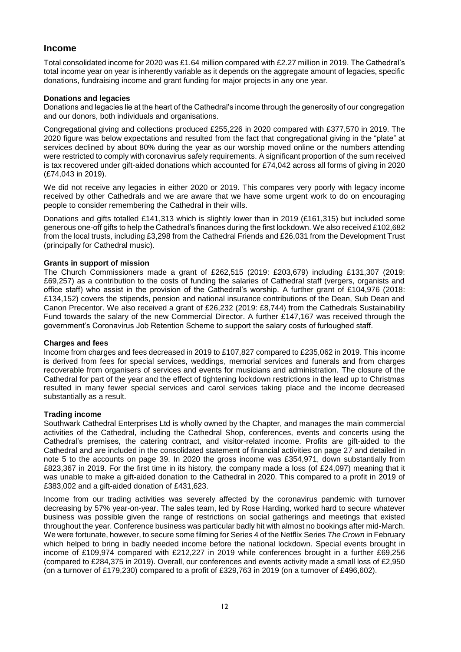## **Income**

Total consolidated income for 2020 was £1.64 million compared with £2.27 million in 2019. The Cathedral's total income year on year is inherently variable as it depends on the aggregate amount of legacies, specific donations, fundraising income and grant funding for major projects in any one year.

#### **Donations and legacies**

Donations and legacies lie at the heart of the Cathedral's income through the generosity of our congregation and our donors, both individuals and organisations.

Congregational giving and collections produced £255,226 in 2020 compared with £377,570 in 2019. The 2020 figure was below expectations and resulted from the fact that congregational giving in the "plate" at services declined by about 80% during the year as our worship moved online or the numbers attending were restricted to comply with coronavirus safely requirements. A significant proportion of the sum received is tax recovered under gift-aided donations which accounted for £74,042 across all forms of giving in 2020 (£74,043 in 2019).

We did not receive any legacies in either 2020 or 2019. This compares very poorly with legacy income received by other Cathedrals and we are aware that we have some urgent work to do on encouraging people to consider remembering the Cathedral in their wills.

Donations and gifts totalled £141,313 which is slightly lower than in 2019 (£161,315) but included some generous one-off gifts to help the Cathedral's finances during the first lockdown. We also received £102,682 from the local trusts, including £3,298 from the Cathedral Friends and £26,031 from the Development Trust (principally for Cathedral music).

#### **Grants in support of mission**

The Church Commissioners made a grant of £262,515 (2019: £203,679) including £131,307 (2019: £69,257) as a contribution to the costs of funding the salaries of Cathedral staff (vergers, organists and office staff) who assist in the provision of the Cathedral's worship. A further grant of £104,976 (2018: £134,152) covers the stipends, pension and national insurance contributions of the Dean, Sub Dean and Canon Precentor. We also received a grant of £26,232 (2019: £8,744) from the Cathedrals Sustainability Fund towards the salary of the new Commercial Director. A further £147,167 was received through the government's Coronavirus Job Retention Scheme to support the salary costs of furloughed staff.

#### **Charges and fees**

Income from charges and fees decreased in 2019 to £107,827 compared to £235,062 in 2019. This income is derived from fees for special services, weddings, memorial services and funerals and from charges recoverable from organisers of services and events for musicians and administration. The closure of the Cathedral for part of the year and the effect of tightening lockdown restrictions in the lead up to Christmas resulted in many fewer special services and carol services taking place and the income decreased substantially as a result.

#### **Trading income**

Southwark Cathedral Enterprises Ltd is wholly owned by the Chapter, and manages the main commercial activities of the Cathedral, including the Cathedral Shop, conferences, events and concerts using the Cathedral's premises, the catering contract, and visitor-related income. Profits are gift-aided to the Cathedral and are included in the consolidated statement of financial activities on page 27 and detailed in note 5 to the accounts on page 39. In 2020 the gross income was £354,971, down substantially from £823,367 in 2019. For the first time in its history, the company made a loss (of £24,097) meaning that it was unable to make a gift-aided donation to the Cathedral in 2020. This compared to a profit in 2019 of £383,002 and a gift-aided donation of £431,623.

Income from our trading activities was severely affected by the coronavirus pandemic with turnover decreasing by 57% year-on-year. The sales team, led by Rose Harding, worked hard to secure whatever business was possible given the range of restrictions on social gatherings and meetings that existed throughout the year. Conference business was particular badly hit with almost no bookings after mid-March. We were fortunate, however, to secure some filming for Series 4 of the Netflix Series *The Crown* in February which helped to bring in badly needed income before the national lockdown. Special events brought in income of £109,974 compared with £212,227 in 2019 while conferences brought in a further £69,256 (compared to £284,375 in 2019). Overall, our conferences and events activity made a small loss of £2,950 (on a turnover of £179,230) compared to a profit of £329,763 in 2019 (on a turnover of £496,602).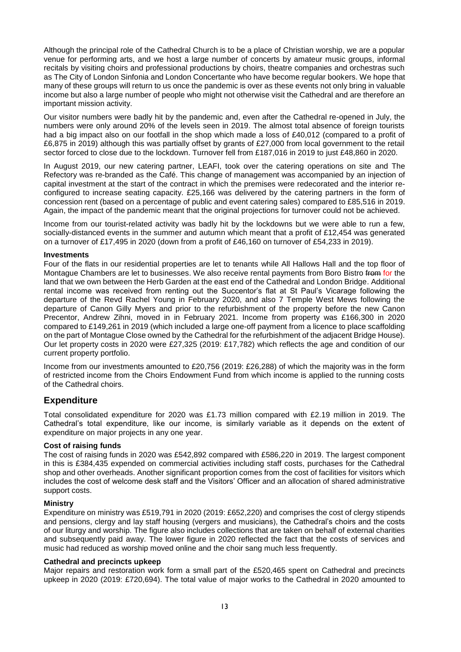Although the principal role of the Cathedral Church is to be a place of Christian worship, we are a popular venue for performing arts, and we host a large number of concerts by amateur music groups, informal recitals by visiting choirs and professional productions by choirs, theatre companies and orchestras such as The City of London Sinfonia and London Concertante who have become regular bookers. We hope that many of these groups will return to us once the pandemic is over as these events not only bring in valuable income but also a large number of people who might not otherwise visit the Cathedral and are therefore an important mission activity.

Our visitor numbers were badly hit by the pandemic and, even after the Cathedral re-opened in July, the numbers were only around 20% of the levels seen in 2019. The almost total absence of foreign tourists had a big impact also on our footfall in the shop which made a loss of £40,012 (compared to a profit of £6,875 in 2019) although this was partially offset by grants of £27,000 from local government to the retail sector forced to close due to the lockdown. Turnover fell from £187,016 in 2019 to just £48,860 in 2020.

In August 2019, our new catering partner, LEAFI, took over the catering operations on site and The Refectory was re-branded as the Café. This change of management was accompanied by an injection of capital investment at the start of the contract in which the premises were redecorated and the interior reconfigured to increase seating capacity. £25,166 was delivered by the catering partners in the form of concession rent (based on a percentage of public and event catering sales) compared to £85,516 in 2019. Again, the impact of the pandemic meant that the original projections for turnover could not be achieved.

Income from our tourist-related activity was badly hit by the lockdowns but we were able to run a few, socially-distanced events in the summer and autumn which meant that a profit of £12,454 was generated on a turnover of £17,495 in 2020 (down from a profit of £46,160 on turnover of £54,233 in 2019).

#### **Investments**

Four of the flats in our residential properties are let to tenants while All Hallows Hall and the top floor of Montague Chambers are let to businesses. We also receive rental payments from Boro Bistro from for the land that we own between the Herb Garden at the east end of the Cathedral and London Bridge. Additional rental income was received from renting out the Succentor's flat at St Paul's Vicarage following the departure of the Revd Rachel Young in February 2020, and also 7 Temple West Mews following the departure of Canon Gilly Myers and prior to the refurbishment of the property before the new Canon Precentor, Andrew Zihni, moved in in February 2021. Income from property was £166,300 in 2020 compared to £149,261 in 2019 (which included a large one-off payment from a licence to place scaffolding on the part of Montague Close owned by the Cathedral for the refurbishment of the adjacent Bridge House). Our let property costs in 2020 were £27,325 (2019: £17,782) which reflects the age and condition of our current property portfolio.

Income from our investments amounted to £20,756 (2019: £26,288) of which the majority was in the form of restricted income from the Choirs Endowment Fund from which income is applied to the running costs of the Cathedral choirs.

## **Expenditure**

Total consolidated expenditure for 2020 was £1.73 million compared with £2.19 million in 2019. The Cathedral's total expenditure, like our income, is similarly variable as it depends on the extent of expenditure on major projects in any one year.

#### **Cost of raising funds**

The cost of raising funds in 2020 was £542,892 compared with £586,220 in 2019. The largest component in this is £384,435 expended on commercial activities including staff costs, purchases for the Cathedral shop and other overheads. Another significant proportion comes from the cost of facilities for visitors which includes the cost of welcome desk staff and the Visitors' Officer and an allocation of shared administrative support costs.

#### **Ministry**

Expenditure on ministry was £519,791 in 2020 (2019: £652,220) and comprises the cost of clergy stipends and pensions, clergy and lay staff housing (vergers and musicians), the Cathedral's choirs and the costs of our liturgy and worship. The figure also includes collections that are taken on behalf of external charities and subsequently paid away. The lower figure in 2020 reflected the fact that the costs of services and music had reduced as worship moved online and the choir sang much less frequently.

#### **Cathedral and precincts upkeep**

Major repairs and restoration work form a small part of the £520,465 spent on Cathedral and precincts upkeep in 2020 (2019: £720,694). The total value of major works to the Cathedral in 2020 amounted to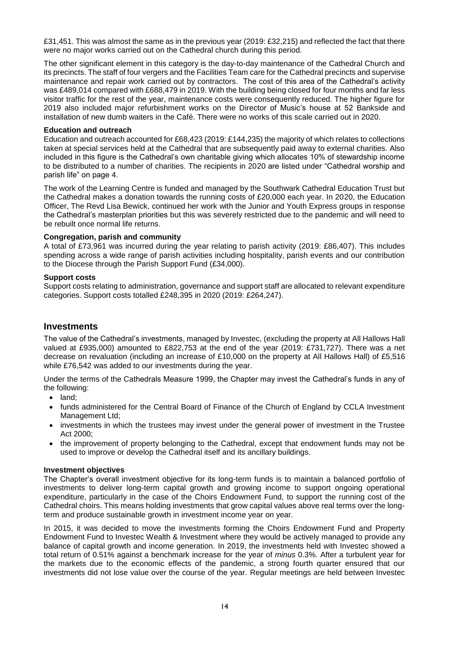£31,451. This was almost the same as in the previous year (2019: £32,215) and reflected the fact that there were no major works carried out on the Cathedral church during this period.

The other significant element in this category is the day-to-day maintenance of the Cathedral Church and its precincts. The staff of four vergers and the Facilities Team care for the Cathedral precincts and supervise maintenance and repair work carried out by contractors. The cost of this area of the Cathedral's activity was £489,014 compared with £688,479 in 2019. With the building being closed for four months and far less visitor traffic for the rest of the year, maintenance costs were consequently reduced. The higher figure for 2019 also included major refurbishment works on the Director of Music's house at 52 Bankside and installation of new dumb waiters in the Café. There were no works of this scale carried out in 2020.

#### **Education and outreach**

Education and outreach accounted for £68,423 (2019: £144,235) the majority of which relates to collections taken at special services held at the Cathedral that are subsequently paid away to external charities. Also included in this figure is the Cathedral's own charitable giving which allocates 10% of stewardship income to be distributed to a number of charities. The recipients in 2020 are listed under "Cathedral worship and parish life" on page 4.

The work of the Learning Centre is funded and managed by the Southwark Cathedral Education Trust but the Cathedral makes a donation towards the running costs of £20,000 each year. In 2020, the Education Officer, The Revd Lisa Bewick, continued her work with the Junior and Youth Express groups in response the Cathedral's masterplan priorities but this was severely restricted due to the pandemic and will need to be rebuilt once normal life returns.

#### **Congregation, parish and community**

A total of £73,961 was incurred during the year relating to parish activity (2019: £86,407). This includes spending across a wide range of parish activities including hospitality, parish events and our contribution to the Diocese through the Parish Support Fund (£34,000).

#### **Support costs**

Support costs relating to administration, governance and support staff are allocated to relevant expenditure categories. Support costs totalled £248,395 in 2020 (2019: £264,247).

### **Investments**

The value of the Cathedral's investments, managed by Investec, (excluding the property at All Hallows Hall valued at £935,000) amounted to £822,753 at the end of the year (2019: £731,727). There was a net decrease on revaluation (including an increase of £10,000 on the property at All Hallows Hall) of £5,516 while £76,542 was added to our investments during the year.

Under the terms of the Cathedrals Measure 1999, the Chapter may invest the Cathedral's funds in any of the following:

- land:
- funds administered for the Central Board of Finance of the Church of England by CCLA Investment Management Ltd;
- investments in which the trustees may invest under the general power of investment in the Trustee Act 2000;
- the improvement of property belonging to the Cathedral, except that endowment funds may not be used to improve or develop the Cathedral itself and its ancillary buildings.

#### **Investment objectives**

The Chapter's overall investment objective for its long-term funds is to maintain a balanced portfolio of investments to deliver long-term capital growth and growing income to support ongoing operational expenditure, particularly in the case of the Choirs Endowment Fund, to support the running cost of the Cathedral choirs. This means holding investments that grow capital values above real terms over the longterm and produce sustainable growth in investment income year on year.

In 2015, it was decided to move the investments forming the Choirs Endowment Fund and Property Endowment Fund to Investec Wealth & Investment where they would be actively managed to provide any balance of capital growth and income generation. In 2019, the investments held with Investec showed a total return of 0.51% against a benchmark increase for the year of *minus* 0.3%. After a turbulent year for the markets due to the economic effects of the pandemic, a strong fourth quarter ensured that our investments did not lose value over the course of the year. Regular meetings are held between Investec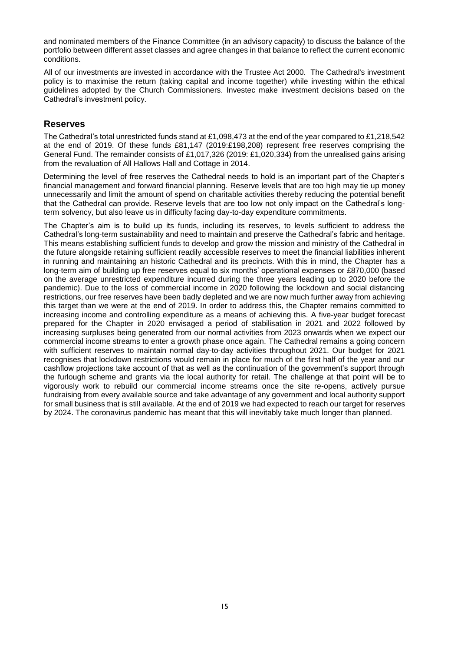and nominated members of the Finance Committee (in an advisory capacity) to discuss the balance of the portfolio between different asset classes and agree changes in that balance to reflect the current economic conditions.

All of our investments are invested in accordance with the Trustee Act 2000. The Cathedral's investment policy is to maximise the return (taking capital and income together) while investing within the ethical guidelines adopted by the Church Commissioners. Investec make investment decisions based on the Cathedral's investment policy.

### **Reserves**

The Cathedral's total unrestricted funds stand at £1,098,473 at the end of the year compared to £1,218,542 at the end of 2019. Of these funds £81,147 (2019:£198,208) represent free reserves comprising the General Fund. The remainder consists of £1,017,326 (2019: £1,020,334) from the unrealised gains arising from the revaluation of All Hallows Hall and Cottage in 2014.

Determining the level of free reserves the Cathedral needs to hold is an important part of the Chapter's financial management and forward financial planning. Reserve levels that are too high may tie up money unnecessarily and limit the amount of spend on charitable activities thereby reducing the potential benefit that the Cathedral can provide. Reserve levels that are too low not only impact on the Cathedral's longterm solvency, but also leave us in difficulty facing day-to-day expenditure commitments.

The Chapter's aim is to build up its funds, including its reserves, to levels sufficient to address the Cathedral's long-term sustainability and need to maintain and preserve the Cathedral's fabric and heritage. This means establishing sufficient funds to develop and grow the mission and ministry of the Cathedral in the future alongside retaining sufficient readily accessible reserves to meet the financial liabilities inherent in running and maintaining an historic Cathedral and its precincts. With this in mind, the Chapter has a long-term aim of building up free reserves equal to six months' operational expenses or £870,000 (based on the average unrestricted expenditure incurred during the three years leading up to 2020 before the pandemic). Due to the loss of commercial income in 2020 following the lockdown and social distancing restrictions, our free reserves have been badly depleted and we are now much further away from achieving this target than we were at the end of 2019. In order to address this, the Chapter remains committed to increasing income and controlling expenditure as a means of achieving this. A five-year budget forecast prepared for the Chapter in 2020 envisaged a period of stabilisation in 2021 and 2022 followed by increasing surpluses being generated from our normal activities from 2023 onwards when we expect our commercial income streams to enter a growth phase once again. The Cathedral remains a going concern with sufficient reserves to maintain normal day-to-day activities throughout 2021. Our budget for 2021 recognises that lockdown restrictions would remain in place for much of the first half of the year and our cashflow projections take account of that as well as the continuation of the government's support through the furlough scheme and grants via the local authority for retail. The challenge at that point will be to vigorously work to rebuild our commercial income streams once the site re-opens, actively pursue fundraising from every available source and take advantage of any government and local authority support for small business that is still available. At the end of 2019 we had expected to reach our target for reserves by 2024. The coronavirus pandemic has meant that this will inevitably take much longer than planned.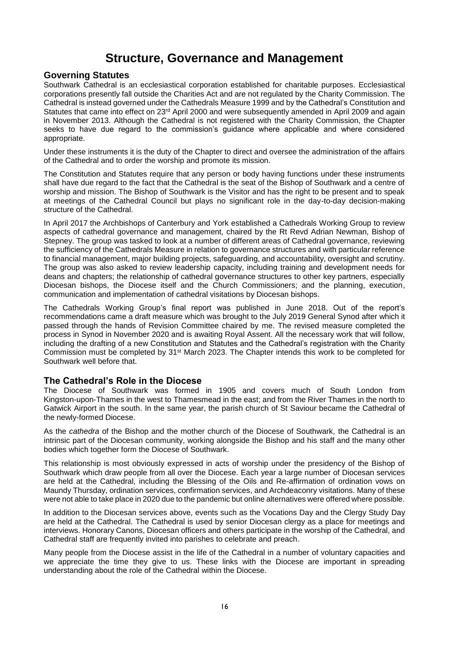## **Structure, Governance and Management**

### **Governing Statutes**

Southwark Cathedral is an ecclesiastical corporation established for charitable purposes. Ecclesiastical corporations presently fall outside the Charities Act and are not regulated by the Charity Commission. The Cathedral is instead governed under the Cathedrals Measure 1999 and by the Cathedral's Constitution and Statutes that came into effect on 23<sup>rd</sup> April 2000 and were subsequently amended in April 2009 and again in November 2013. Although the Cathedral is not registered with the Charity Commission, the Chapter seeks to have due regard to the commission's guidance where applicable and where considered appropriate.

Under these instruments it is the duty of the Chapter to direct and oversee the administration of the affairs of the Cathedral and to order the worship and promote its mission.

The Constitution and Statutes require that any person or body having functions under these instruments shall have due regard to the fact that the Cathedral is the seat of the Bishop of Southwark and a centre of worship and mission. The Bishop of Southwark is the Visitor and has the right to be present and to speak at meetings of the Cathedral Council but plays no significant role in the day-to-day decision-making structure of the Cathedral.

In April 2017 the Archbishops of Canterbury and York established a Cathedrals Working Group to review aspects of cathedral governance and management, chaired by the Rt Revd Adrian Newman, Bishop of Stepney. The group was tasked to look at a number of different areas of Cathedral governance, reviewing the sufficiency of the Cathedrals Measure in relation to governance structures and with particular reference to financial management, major building projects, safeguarding, and accountability, oversight and scrutiny. The group was also asked to review leadership capacity, including training and development needs for deans and chapters; the relationship of cathedral governance structures to other key partners, especially Diocesan bishops, the Diocese itself and the Church Commissioners; and the planning, execution, communication and implementation of cathedral visitations by Diocesan bishops.

The Cathedrals Working Group's final report was published in June 2018. Out of the report's recommendations came a draft measure which was brought to the July 2019 General Synod after which it passed through the hands of Revision Committee chaired by me. The revised measure completed the process in Synod in November 2020 and is awaiting Royal Assent. All the necessary work that will follow, including the drafting of a new Constitution and Statutes and the Cathedral's registration with the Charity Commission must be completed by 31st March 2023. The Chapter intends this work to be completed for Southwark well before that.

### **The Cathedral's Role in the Diocese**

The Diocese of Southwark was formed in 1905 and covers much of South London from Kingston-upon-Thames in the west to Thamesmead in the east; and from the River Thames in the north to Gatwick Airport in the south. In the same year, the parish church of St Saviour became the Cathedral of the newly-formed Diocese.

As the *cathedra* of the Bishop and the mother church of the Diocese of Southwark, the Cathedral is an intrinsic part of the Diocesan community, working alongside the Bishop and his staff and the many other bodies which together form the Diocese of Southwark.

This relationship is most obviously expressed in acts of worship under the presidency of the Bishop of Southwark which draw people from all over the Diocese. Each year a large number of Diocesan services are held at the Cathedral, including the Blessing of the Oils and Re-affirmation of ordination vows on Maundy Thursday, ordination services, confirmation services, and Archdeaconry visitations. Many of these were not able to take place in 2020 due to the pandemic but online alternatives were offered where possible.

In addition to the Diocesan services above, events such as the Vocations Day and the Clergy Study Day are held at the Cathedral. The Cathedral is used by senior Diocesan clergy as a place for meetings and interviews. Honorary Canons, Diocesan officers and others participate in the worship of the Cathedral, and Cathedral staff are frequently invited into parishes to celebrate and preach.

Many people from the Diocese assist in the life of the Cathedral in a number of voluntary capacities and we appreciate the time they give to us. These links with the Diocese are important in spreading understanding about the role of the Cathedral within the Diocese.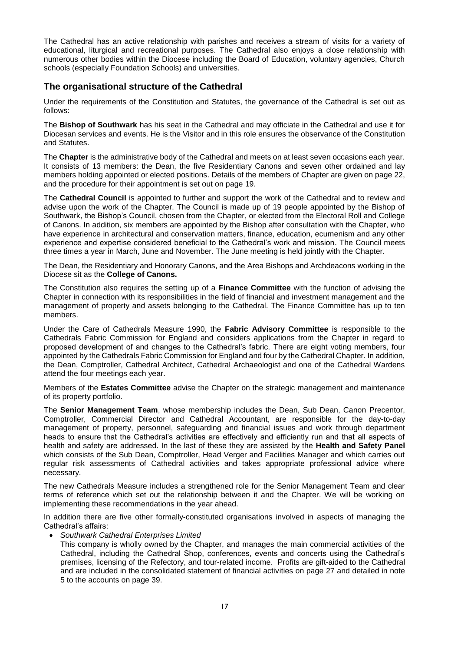The Cathedral has an active relationship with parishes and receives a stream of visits for a variety of educational, liturgical and recreational purposes. The Cathedral also enjoys a close relationship with numerous other bodies within the Diocese including the Board of Education, voluntary agencies, Church schools (especially Foundation Schools) and universities.

## **The organisational structure of the Cathedral**

Under the requirements of the Constitution and Statutes, the governance of the Cathedral is set out as follows:

The **Bishop of Southwark** has his seat in the Cathedral and may officiate in the Cathedral and use it for Diocesan services and events. He is the Visitor and in this role ensures the observance of the Constitution and Statutes.

The **Chapter** is the administrative body of the Cathedral and meets on at least seven occasions each year. It consists of 13 members: the Dean, the five Residentiary Canons and seven other ordained and lay members holding appointed or elected positions. Details of the members of Chapter are given on page 22, and the procedure for their appointment is set out on page 19.

The **Cathedral Council** is appointed to further and support the work of the Cathedral and to review and advise upon the work of the Chapter. The Council is made up of 19 people appointed by the Bishop of Southwark, the Bishop's Council, chosen from the Chapter, or elected from the Electoral Roll and College of Canons. In addition, six members are appointed by the Bishop after consultation with the Chapter, who have experience in architectural and conservation matters, finance, education, ecumenism and any other experience and expertise considered beneficial to the Cathedral's work and mission. The Council meets three times a year in March, June and November. The June meeting is held jointly with the Chapter.

The Dean, the Residentiary and Honorary Canons, and the Area Bishops and Archdeacons working in the Diocese sit as the **College of Canons.**

The Constitution also requires the setting up of a **Finance Committee** with the function of advising the Chapter in connection with its responsibilities in the field of financial and investment management and the management of property and assets belonging to the Cathedral. The Finance Committee has up to ten members.

Under the Care of Cathedrals Measure 1990, the **Fabric Advisory Committee** is responsible to the Cathedrals Fabric Commission for England and considers applications from the Chapter in regard to proposed development of and changes to the Cathedral's fabric. There are eight voting members, four appointed by the Cathedrals Fabric Commission for England and four by the Cathedral Chapter. In addition, the Dean, Comptroller, Cathedral Architect, Cathedral Archaeologist and one of the Cathedral Wardens attend the four meetings each year.

Members of the **Estates Committee** advise the Chapter on the strategic management and maintenance of its property portfolio.

The **Senior Management Team**, whose membership includes the Dean, Sub Dean, Canon Precentor, Comptroller, Commercial Director and Cathedral Accountant, are responsible for the day-to-day management of property, personnel, safeguarding and financial issues and work through department heads to ensure that the Cathedral's activities are effectively and efficiently run and that all aspects of health and safety are addressed. In the last of these they are assisted by the **Health and Safety Panel** which consists of the Sub Dean, Comptroller, Head Verger and Facilities Manager and which carries out regular risk assessments of Cathedral activities and takes appropriate professional advice where necessary.

The new Cathedrals Measure includes a strengthened role for the Senior Management Team and clear terms of reference which set out the relationship between it and the Chapter. We will be working on implementing these recommendations in the year ahead.

In addition there are five other formally-constituted organisations involved in aspects of managing the Cathedral's affairs:

*Southwark Cathedral Enterprises Limited*

This company is wholly owned by the Chapter, and manages the main commercial activities of the Cathedral, including the Cathedral Shop, conferences, events and concerts using the Cathedral's premises, licensing of the Refectory, and tour-related income. Profits are gift-aided to the Cathedral and are included in the consolidated statement of financial activities on page 27 and detailed in note 5 to the accounts on page 39.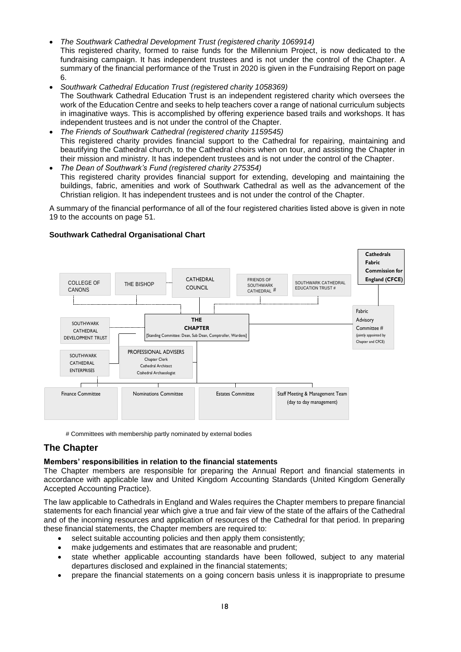*The Southwark Cathedral Development Trust (registered charity 1069914)*

This registered charity, formed to raise funds for the Millennium Project, is now dedicated to the fundraising campaign. It has independent trustees and is not under the control of the Chapter. A summary of the financial performance of the Trust in 2020 is given in the Fundraising Report on page 6.

- *Southwark Cathedral Education Trust (registered charity 1058369)* The Southwark Cathedral Education Trust is an independent registered charity which oversees the work of the Education Centre and seeks to help teachers cover a range of national curriculum subjects in imaginative ways. This is accomplished by offering experience based trails and workshops. It has independent trustees and is not under the control of the Chapter.
- *The Friends of Southwark Cathedral (registered charity 1159545)* This registered charity provides financial support to the Cathedral for repairing, maintaining and beautifying the Cathedral church, to the Cathedral choirs when on tour, and assisting the Chapter in their mission and ministry. It has independent trustees and is not under the control of the Chapter.
- *The Dean of Southwark's Fund (registered charity 275354)* This registered charity provides financial support for extending, developing and maintaining the buildings, fabric, amenities and work of Southwark Cathedral as well as the advancement of the Christian religion. It has independent trustees and is not under the control of the Chapter.

A summary of the financial performance of all of the four registered charities listed above is given in note 19 to the accounts on page 51.

### **Southwark Cathedral Organisational Chart**



# Committees with membership partly nominated by external bodies

## **The Chapter**

### **Members' responsibilities in relation to the financial statements**

The Chapter members are responsible for preparing the Annual Report and financial statements in accordance with applicable law and United Kingdom Accounting Standards (United Kingdom Generally Accepted Accounting Practice).

The law applicable to Cathedrals in England and Wales requires the Chapter members to prepare financial statements for each financial year which give a true and fair view of the state of the affairs of the Cathedral and of the incoming resources and application of resources of the Cathedral for that period. In preparing these financial statements, the Chapter members are required to:

- select suitable accounting policies and then apply them consistently;
- make judgements and estimates that are reasonable and prudent:
- state whether applicable accounting standards have been followed, subject to any material departures disclosed and explained in the financial statements;
- prepare the financial statements on a going concern basis unless it is inappropriate to presume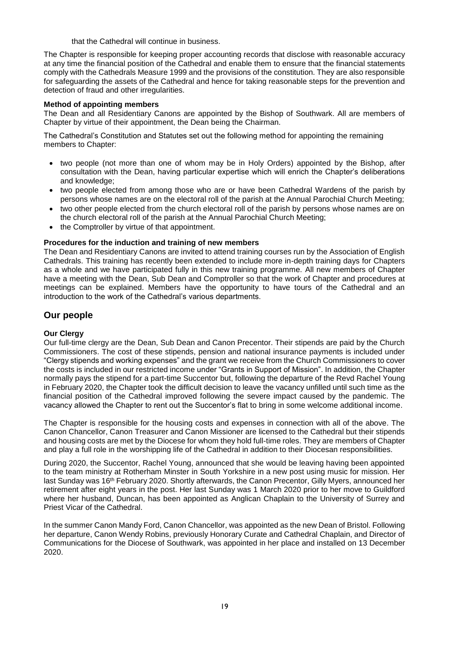that the Cathedral will continue in business.

The Chapter is responsible for keeping proper accounting records that disclose with reasonable accuracy at any time the financial position of the Cathedral and enable them to ensure that the financial statements comply with the Cathedrals Measure 1999 and the provisions of the constitution. They are also responsible for safeguarding the assets of the Cathedral and hence for taking reasonable steps for the prevention and detection of fraud and other irregularities.

#### **Method of appointing members**

The Dean and all Residentiary Canons are appointed by the Bishop of Southwark. All are members of Chapter by virtue of their appointment, the Dean being the Chairman.

The Cathedral's Constitution and Statutes set out the following method for appointing the remaining members to Chapter:

- two people (not more than one of whom may be in Holy Orders) appointed by the Bishop, after consultation with the Dean, having particular expertise which will enrich the Chapter's deliberations and knowledge;
- two people elected from among those who are or have been Cathedral Wardens of the parish by persons whose names are on the electoral roll of the parish at the Annual Parochial Church Meeting;
- two other people elected from the church electoral roll of the parish by persons whose names are on the church electoral roll of the parish at the Annual Parochial Church Meeting;
- the Comptroller by virtue of that appointment.

#### **Procedures for the induction and training of new members**

The Dean and Residentiary Canons are invited to attend training courses run by the Association of English Cathedrals. This training has recently been extended to include more in-depth training days for Chapters as a whole and we have participated fully in this new training programme. All new members of Chapter have a meeting with the Dean, Sub Dean and Comptroller so that the work of Chapter and procedures at meetings can be explained. Members have the opportunity to have tours of the Cathedral and an introduction to the work of the Cathedral's various departments.

## **Our people**

#### **Our Clergy**

Our full-time clergy are the Dean, Sub Dean and Canon Precentor. Their stipends are paid by the Church Commissioners. The cost of these stipends, pension and national insurance payments is included under "Clergy stipends and working expenses" and the grant we receive from the Church Commissioners to cover the costs is included in our restricted income under "Grants in Support of Mission". In addition, the Chapter normally pays the stipend for a part-time Succentor but, following the departure of the Revd Rachel Young in February 2020, the Chapter took the difficult decision to leave the vacancy unfilled until such time as the financial position of the Cathedral improved following the severe impact caused by the pandemic. The vacancy allowed the Chapter to rent out the Succentor's flat to bring in some welcome additional income.

The Chapter is responsible for the housing costs and expenses in connection with all of the above. The Canon Chancellor, Canon Treasurer and Canon Missioner are licensed to the Cathedral but their stipends and housing costs are met by the Diocese for whom they hold full-time roles. They are members of Chapter and play a full role in the worshipping life of the Cathedral in addition to their Diocesan responsibilities.

During 2020, the Succentor, Rachel Young, announced that she would be leaving having been appointed to the team ministry at Rotherham Minster in South Yorkshire in a new post using music for mission. Her last Sunday was 16<sup>th</sup> February 2020. Shortly afterwards, the Canon Precentor, Gilly Myers, announced her retirement after eight years in the post. Her last Sunday was 1 March 2020 prior to her move to Guildford where her husband, Duncan, has been appointed as Anglican Chaplain to the University of Surrey and Priest Vicar of the Cathedral.

In the summer Canon Mandy Ford, Canon Chancellor, was appointed as the new Dean of Bristol. Following her departure, Canon Wendy Robins, previously Honorary Curate and Cathedral Chaplain, and Director of Communications for the Diocese of Southwark, was appointed in her place and installed on 13 December 2020.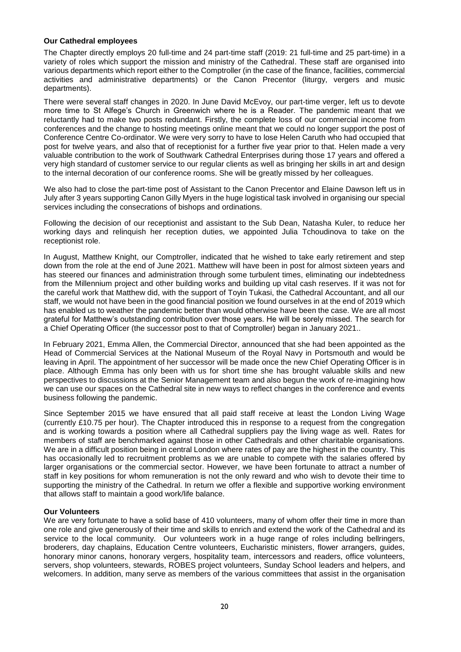#### **Our Cathedral employees**

The Chapter directly employs 20 full-time and 24 part-time staff (2019: 21 full-time and 25 part-time) in a variety of roles which support the mission and ministry of the Cathedral. These staff are organised into various departments which report either to the Comptroller (in the case of the finance, facilities, commercial activities and administrative departments) or the Canon Precentor (liturgy, vergers and music departments).

There were several staff changes in 2020. In June David McEvoy, our part-time verger, left us to devote more time to St Alfege's Church in Greenwich where he is a Reader. The pandemic meant that we reluctantly had to make two posts redundant. Firstly, the complete loss of our commercial income from conferences and the change to hosting meetings online meant that we could no longer support the post of Conference Centre Co-ordinator. We were very sorry to have to lose Helen Caruth who had occupied that post for twelve years, and also that of receptionist for a further five year prior to that. Helen made a very valuable contribution to the work of Southwark Cathedral Enterprises during those 17 years and offered a very high standard of customer service to our regular clients as well as bringing her skills in art and design to the internal decoration of our conference rooms. She will be greatly missed by her colleagues.

We also had to close the part-time post of Assistant to the Canon Precentor and Elaine Dawson left us in July after 3 years supporting Canon Gilly Myers in the huge logistical task involved in organising our special services including the consecrations of bishops and ordinations.

Following the decision of our receptionist and assistant to the Sub Dean, Natasha Kuler, to reduce her working days and relinquish her reception duties, we appointed Julia Tchoudinova to take on the receptionist role.

In August, Matthew Knight, our Comptroller, indicated that he wished to take early retirement and step down from the role at the end of June 2021. Matthew will have been in post for almost sixteen years and has steered our finances and administration through some turbulent times, eliminating our indebtedness from the Millennium project and other building works and building up vital cash reserves. If it was not for the careful work that Matthew did, with the support of Toyin Tukasi, the Cathedral Accountant, and all our staff, we would not have been in the good financial position we found ourselves in at the end of 2019 which has enabled us to weather the pandemic better than would otherwise have been the case. We are all most grateful for Matthew's outstanding contribution over those years. He will be sorely missed. The search for a Chief Operating Officer (the successor post to that of Comptroller) began in January 2021..

In February 2021, Emma Allen, the Commercial Director, announced that she had been appointed as the Head of Commercial Services at the National Museum of the Royal Navy in Portsmouth and would be leaving in April. The appointment of her successor will be made once the new Chief Operating Officer is in place. Although Emma has only been with us for short time she has brought valuable skills and new perspectives to discussions at the Senior Management team and also begun the work of re-imagining how we can use our spaces on the Cathedral site in new ways to reflect changes in the conference and events business following the pandemic.

Since September 2015 we have ensured that all paid staff receive at least the London Living Wage (currently £10.75 per hour). The Chapter introduced this in response to a request from the congregation and is working towards a position where all Cathedral suppliers pay the living wage as well. Rates for members of staff are benchmarked against those in other Cathedrals and other charitable organisations. We are in a difficult position being in central London where rates of pay are the highest in the country. This has occasionally led to recruitment problems as we are unable to compete with the salaries offered by larger organisations or the commercial sector. However, we have been fortunate to attract a number of staff in key positions for whom remuneration is not the only reward and who wish to devote their time to supporting the ministry of the Cathedral. In return we offer a flexible and supportive working environment that allows staff to maintain a good work/life balance.

#### **Our Volunteers**

We are very fortunate to have a solid base of 410 volunteers, many of whom offer their time in more than one role and give generously of their time and skills to enrich and extend the work of the Cathedral and its service to the local community. Our volunteers work in a huge range of roles including bellringers, broderers, day chaplains, Education Centre volunteers, Eucharistic ministers, flower arrangers, guides, honorary minor canons, honorary vergers, hospitality team, intercessors and readers, office volunteers, servers, shop volunteers, stewards, ROBES project volunteers, Sunday School leaders and helpers, and welcomers. In addition, many serve as members of the various committees that assist in the organisation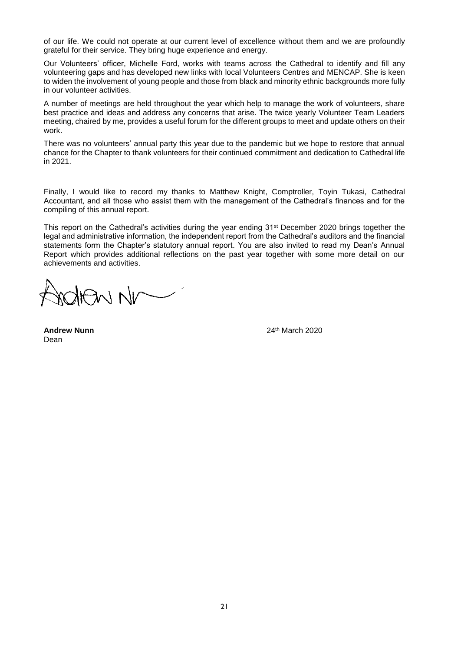of our life. We could not operate at our current level of excellence without them and we are profoundly grateful for their service. They bring huge experience and energy.

Our Volunteers' officer, Michelle Ford, works with teams across the Cathedral to identify and fill any volunteering gaps and has developed new links with local Volunteers Centres and MENCAP. She is keen to widen the involvement of young people and those from black and minority ethnic backgrounds more fully in our volunteer activities.

A number of meetings are held throughout the year which help to manage the work of volunteers, share best practice and ideas and address any concerns that arise. The twice yearly Volunteer Team Leaders meeting, chaired by me, provides a useful forum for the different groups to meet and update others on their work.

There was no volunteers' annual party this year due to the pandemic but we hope to restore that annual chance for the Chapter to thank volunteers for their continued commitment and dedication to Cathedral life in 2021.

Finally, I would like to record my thanks to Matthew Knight, Comptroller, Toyin Tukasi, Cathedral Accountant, and all those who assist them with the management of the Cathedral's finances and for the compiling of this annual report.

This report on the Cathedral's activities during the year ending 31st December 2020 brings together the legal and administrative information, the independent report from the Cathedral's auditors and the financial statements form the Chapter's statutory annual report. You are also invited to read my Dean's Annual Report which provides additional reflections on the past year together with some more detail on our achievements and activities.

 $\lambda$ In  $\lambda$ 

**Andrew Nunn** Dean

24th March 2020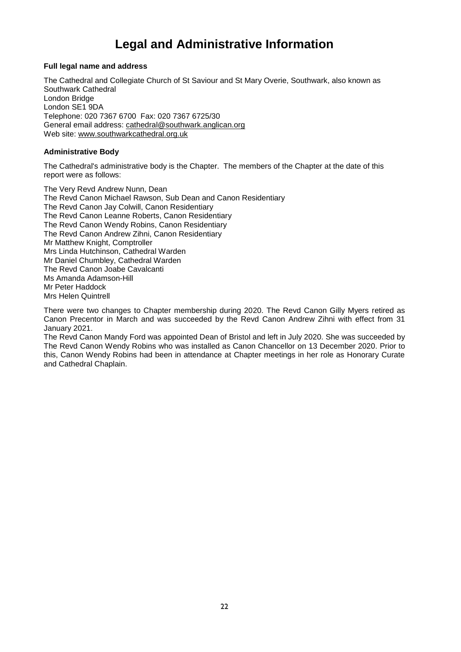## **Legal and Administrative Information**

**Full legal name and address**

The Cathedral and Collegiate Church of St Saviour and St Mary Overie, Southwark, also known as Southwark Cathedral London Bridge London SE1 9DA Telephone: 020 7367 6700 Fax: 020 7367 6725/30 General email address: [cathedral@southwark.anglican.org](mailto:cathedral@southwark.anglican.org) Web site: [www.southwarkcathedral.org.uk](http://www.southwarkcathedral.org.uk/)

#### **Administrative Body**

The Cathedral's administrative body is the Chapter. The members of the Chapter at the date of this report were as follows:

The Very Revd Andrew Nunn, Dean The Revd Canon Michael Rawson, Sub Dean and Canon Residentiary The Revd Canon Jay Colwill, Canon Residentiary The Revd Canon Leanne Roberts, Canon Residentiary The Revd Canon Wendy Robins, Canon Residentiary The Revd Canon Andrew Zihni, Canon Residentiary Mr Matthew Knight, Comptroller Mrs Linda Hutchinson, Cathedral Warden Mr Daniel Chumbley, Cathedral Warden The Revd Canon Joabe Cavalcanti Ms Amanda Adamson-Hill Mr Peter Haddock Mrs Helen Quintrell

There were two changes to Chapter membership during 2020. The Revd Canon Gilly Myers retired as Canon Precentor in March and was succeeded by the Revd Canon Andrew Zihni with effect from 31 January 2021.

The Revd Canon Mandy Ford was appointed Dean of Bristol and left in July 2020. She was succeeded by The Revd Canon Wendy Robins who was installed as Canon Chancellor on 13 December 2020. Prior to this, Canon Wendy Robins had been in attendance at Chapter meetings in her role as Honorary Curate and Cathedral Chaplain.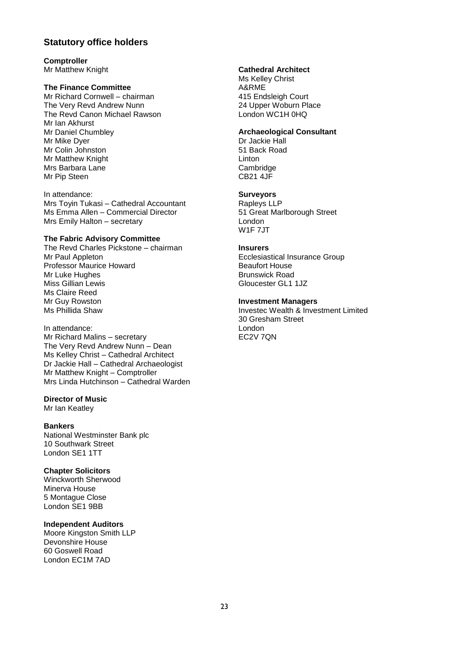## **Statutory office holders**

### **Comptroller**

Mr Matthew Knight

#### **The Finance Committee**

Mr Richard Cornwell – chairman The Very Revd Andrew Nunn The Revd Canon Michael Rawson Mr Ian Akhurst Mr Daniel Chumbley Mr Mike Dyer Mr Colin Johnston Mr Matthew Knight Mrs Barbara Lane Mr Pip Steen

In attendance: Mrs Toyin Tukasi – Cathedral Accountant Ms Emma Allen – Commercial Director Mrs Emily Halton – secretary

#### **The Fabric Advisory Committee**

The Revd Charles Pickstone – chairman Mr Paul Appleton Professor Maurice Howard Mr Luke Hughes Miss Gillian Lewis Ms Claire Reed Mr Guy Rowston Ms Phillida Shaw

In attendance: Mr Richard Malins – secretary The Very Revd Andrew Nunn – Dean Ms Kelley Christ – Cathedral Architect Dr Jackie Hall – Cathedral Archaeologist Mr Matthew Knight – Comptroller Mrs Linda Hutchinson – Cathedral Warden

#### **Director of Music**

Mr Ian Keatley

#### **Bankers**

National Westminster Bank plc 10 Southwark Street London SE1 1TT

### **Chapter Solicitors**

Winckworth Sherwood Minerva House 5 Montague Close London SE1 9BB

#### **Independent Auditors**

Moore Kingston Smith LLP Devonshire House 60 Goswell Road London EC1M 7AD

#### **Cathedral Architect**

Ms Kelley Christ A&RME 415 Endsleigh Court 24 Upper Woburn Place London WC1H 0HQ

#### **Archaeological Consultant**

Dr Jackie Hall 51 Back Road Linton **Cambridge** CB21 4JF

### **Surveyors**

Rapleys LLP 51 Great Marlborough Street London W1F 7JT

#### **Insurers**

Ecclesiastical Insurance Group Beaufort House Brunswick Road Gloucester GL1 1JZ

#### **Investment Managers**

Investec Wealth & Investment Limited 30 Gresham Street London EC2V 7QN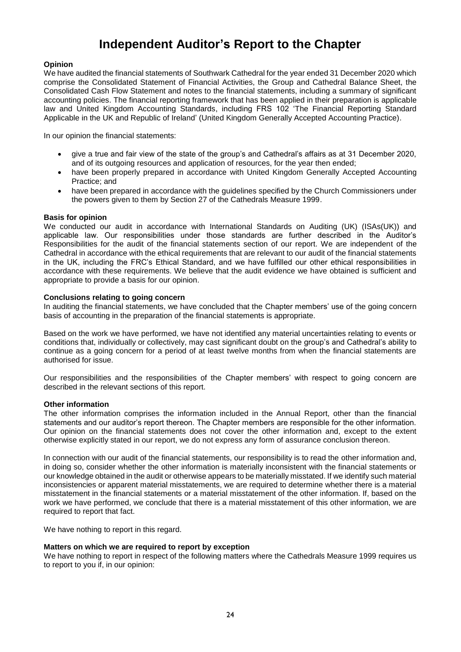## **Independent Auditor's Report to the Chapter**

#### **Opinion**

We have audited the financial statements of Southwark Cathedral for the year ended 31 December 2020 which comprise the Consolidated Statement of Financial Activities, the Group and Cathedral Balance Sheet, the Consolidated Cash Flow Statement and notes to the financial statements, including a summary of significant accounting policies. The financial reporting framework that has been applied in their preparation is applicable law and United Kingdom Accounting Standards, including FRS 102 'The Financial Reporting Standard Applicable in the UK and Republic of Ireland' (United Kingdom Generally Accepted Accounting Practice).

In our opinion the financial statements:

- give a true and fair view of the state of the group's and Cathedral's affairs as at 31 December 2020, and of its outgoing resources and application of resources, for the year then ended;
- have been properly prepared in accordance with United Kingdom Generally Accepted Accounting Practice; and
- have been prepared in accordance with the guidelines specified by the Church Commissioners under the powers given to them by Section 27 of the Cathedrals Measure 1999.

#### **Basis for opinion**

We conducted our audit in accordance with International Standards on Auditing (UK) (ISAs(UK)) and applicable law. Our responsibilities under those standards are further described in the Auditor's Responsibilities for the audit of the financial statements section of our report. We are independent of the Cathedral in accordance with the ethical requirements that are relevant to our audit of the financial statements in the UK, including the FRC's Ethical Standard, and we have fulfilled our other ethical responsibilities in accordance with these requirements. We believe that the audit evidence we have obtained is sufficient and appropriate to provide a basis for our opinion.

#### **Conclusions relating to going concern**

In auditing the financial statements, we have concluded that the Chapter members' use of the going concern basis of accounting in the preparation of the financial statements is appropriate.

Based on the work we have performed, we have not identified any material uncertainties relating to events or conditions that, individually or collectively, may cast significant doubt on the group's and Cathedral's ability to continue as a going concern for a period of at least twelve months from when the financial statements are authorised for issue.

Our responsibilities and the responsibilities of the Chapter members' with respect to going concern are described in the relevant sections of this report.

#### **Other information**

The other information comprises the information included in the Annual Report, other than the financial statements and our auditor's report thereon. The Chapter members are responsible for the other information. Our opinion on the financial statements does not cover the other information and, except to the extent otherwise explicitly stated in our report, we do not express any form of assurance conclusion thereon.

In connection with our audit of the financial statements, our responsibility is to read the other information and, in doing so, consider whether the other information is materially inconsistent with the financial statements or our knowledge obtained in the audit or otherwise appears to be materially misstated. If we identify such material inconsistencies or apparent material misstatements, we are required to determine whether there is a material misstatement in the financial statements or a material misstatement of the other information. If, based on the work we have performed, we conclude that there is a material misstatement of this other information, we are required to report that fact.

We have nothing to report in this regard.

#### **Matters on which we are required to report by exception**

We have nothing to report in respect of the following matters where the Cathedrals Measure 1999 requires us to report to you if, in our opinion: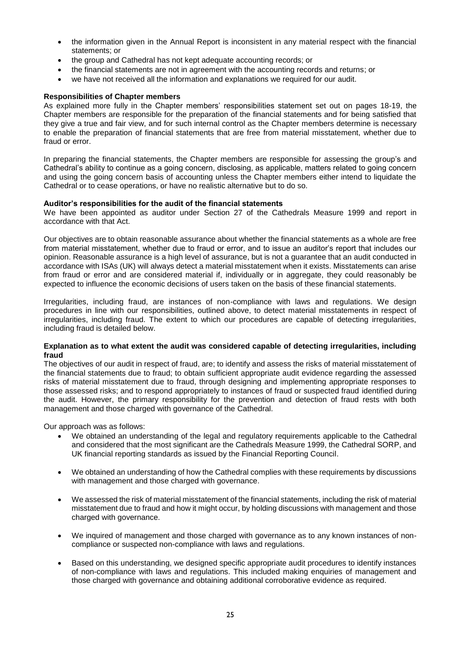- the information given in the Annual Report is inconsistent in any material respect with the financial statements; or
- the group and Cathedral has not kept adequate accounting records; or
- the financial statements are not in agreement with the accounting records and returns; or
- we have not received all the information and explanations we required for our audit.

#### **Responsibilities of Chapter members**

As explained more fully in the Chapter members' responsibilities statement set out on pages 18-19, the Chapter members are responsible for the preparation of the financial statements and for being satisfied that they give a true and fair view, and for such internal control as the Chapter members determine is necessary to enable the preparation of financial statements that are free from material misstatement, whether due to fraud or error.

In preparing the financial statements, the Chapter members are responsible for assessing the group's and Cathedral's ability to continue as a going concern, disclosing, as applicable, matters related to going concern and using the going concern basis of accounting unless the Chapter members either intend to liquidate the Cathedral or to cease operations, or have no realistic alternative but to do so.

#### **Auditor's responsibilities for the audit of the financial statements**

We have been appointed as auditor under Section 27 of the Cathedrals Measure 1999 and report in accordance with that Act.

Our objectives are to obtain reasonable assurance about whether the financial statements as a whole are free from material misstatement, whether due to fraud or error, and to issue an auditor's report that includes our opinion. Reasonable assurance is a high level of assurance, but is not a guarantee that an audit conducted in accordance with ISAs (UK) will always detect a material misstatement when it exists. Misstatements can arise from fraud or error and are considered material if, individually or in aggregate, they could reasonably be expected to influence the economic decisions of users taken on the basis of these financial statements.

Irregularities, including fraud, are instances of non-compliance with laws and regulations. We design procedures in line with our responsibilities, outlined above, to detect material misstatements in respect of irregularities, including fraud. The extent to which our procedures are capable of detecting irregularities, including fraud is detailed below.

#### **Explanation as to what extent the audit was considered capable of detecting irregularities, including fraud**

The objectives of our audit in respect of fraud, are; to identify and assess the risks of material misstatement of the financial statements due to fraud; to obtain sufficient appropriate audit evidence regarding the assessed risks of material misstatement due to fraud, through designing and implementing appropriate responses to those assessed risks; and to respond appropriately to instances of fraud or suspected fraud identified during the audit. However, the primary responsibility for the prevention and detection of fraud rests with both management and those charged with governance of the Cathedral.

Our approach was as follows:

- We obtained an understanding of the legal and regulatory requirements applicable to the Cathedral and considered that the most significant are the Cathedrals Measure 1999, the Cathedral SORP, and UK financial reporting standards as issued by the Financial Reporting Council.
- We obtained an understanding of how the Cathedral complies with these requirements by discussions with management and those charged with governance.
- We assessed the risk of material misstatement of the financial statements, including the risk of material misstatement due to fraud and how it might occur, by holding discussions with management and those charged with governance.
- We inquired of management and those charged with governance as to any known instances of noncompliance or suspected non-compliance with laws and regulations.
- Based on this understanding, we designed specific appropriate audit procedures to identify instances of non-compliance with laws and regulations. This included making enquiries of management and those charged with governance and obtaining additional corroborative evidence as required.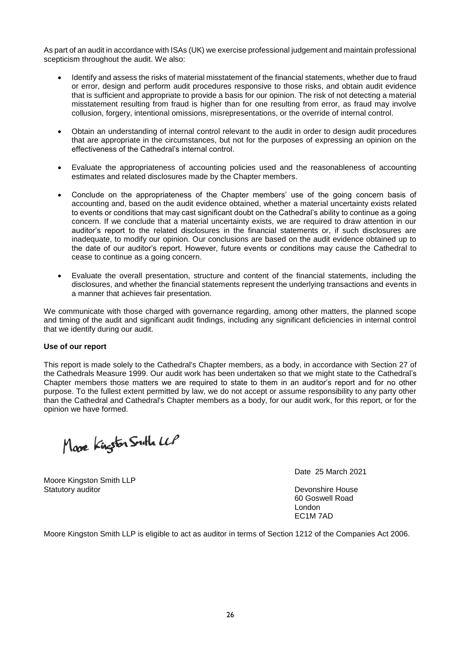As part of an audit in accordance with ISAs (UK) we exercise professional judgement and maintain professional scepticism throughout the audit. We also:

- Identify and assess the risks of material misstatement of the financial statements, whether due to fraud or error, design and perform audit procedures responsive to those risks, and obtain audit evidence that is sufficient and appropriate to provide a basis for our opinion. The risk of not detecting a material misstatement resulting from fraud is higher than for one resulting from error, as fraud may involve collusion, forgery, intentional omissions, misrepresentations, or the override of internal control.
- Obtain an understanding of internal control relevant to the audit in order to design audit procedures that are appropriate in the circumstances, but not for the purposes of expressing an opinion on the effectiveness of the Cathedral's internal control.
- Evaluate the appropriateness of accounting policies used and the reasonableness of accounting estimates and related disclosures made by the Chapter members.
- Conclude on the appropriateness of the Chapter members' use of the going concern basis of accounting and, based on the audit evidence obtained, whether a material uncertainty exists related to events or conditions that may cast significant doubt on the Cathedral's ability to continue as a going concern. If we conclude that a material uncertainty exists, we are required to draw attention in our auditor's report to the related disclosures in the financial statements or, if such disclosures are inadequate, to modify our opinion. Our conclusions are based on the audit evidence obtained up to the date of our auditor's report. However, future events or conditions may cause the Cathedral to cease to continue as a going concern.
- Evaluate the overall presentation, structure and content of the financial statements, including the disclosures, and whether the financial statements represent the underlying transactions and events in a manner that achieves fair presentation.

We communicate with those charged with governance regarding, among other matters, the planned scope and timing of the audit and significant audit findings, including any significant deficiencies in internal control that we identify during our audit.

#### **Use of our report**

This report is made solely to the Cathedral's Chapter members, as a body, in accordance with Section 27 of the Cathedrals Measure 1999. Our audit work has been undertaken so that we might state to the Cathedral's Chapter members those matters we are required to state to them in an auditor's report and for no other purpose. To the fullest extent permitted by law, we do not accept or assume responsibility to any party other than the Cathedral and Cathedral's Chapter members as a body, for our audit work, for this report, or for the opinion we have formed.

Move Kingston Stilla LLP

Moore Kingston Smith LLP Statutory auditor **Devonshire House Devonshire House** 

Date 25 March 2021

60 Goswell Road London EC1M 7AD

Moore Kingston Smith LLP is eligible to act as auditor in terms of Section 1212 of the Companies Act 2006.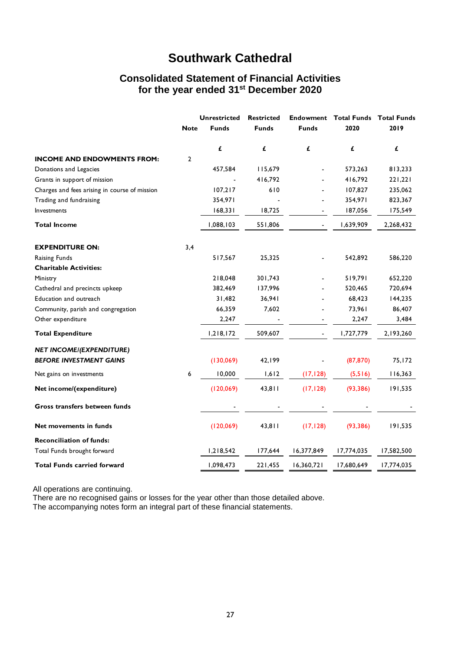## **Southwark Cathedral**

## **Consolidated Statement of Financial Activities for the year ended 31st December 2020**

|                                               |                | <b>Unrestricted</b> | <b>Restricted</b> |                | <b>Endowment Total Funds</b> | <b>Total Funds</b> |  |
|-----------------------------------------------|----------------|---------------------|-------------------|----------------|------------------------------|--------------------|--|
|                                               | <b>Note</b>    | <b>Funds</b>        | <b>Funds</b>      | <b>Funds</b>   | 2020                         | 2019               |  |
|                                               |                | £                   | £                 | £              | £                            | £                  |  |
| <b>INCOME AND ENDOWMENTS FROM:</b>            | $\overline{2}$ |                     |                   |                |                              |                    |  |
| Donations and Legacies                        |                | 457,584             | 115,679           |                | 573,263                      | 813,233            |  |
| Grants in support of mission                  |                |                     | 416,792           |                | 416,792                      | 221,221            |  |
| Charges and fees arising in course of mission |                | 107,217             | 610               |                | 107,827                      | 235,062            |  |
| Trading and fundraising                       |                | 354,971             |                   |                | 354,971                      | 823,367            |  |
| Investments                                   |                | 168,331             | 18,725            |                | 187,056                      | 175,549            |  |
| <b>Total Income</b>                           |                | 1,088,103           | 551,806           | $\blacksquare$ | 1,639,909                    | 2,268,432          |  |
| <b>EXPENDITURE ON:</b>                        | 3,4            |                     |                   |                |                              |                    |  |
| Raising Funds                                 |                | 517,567             | 25,325            |                | 542,892                      | 586,220            |  |
| <b>Charitable Activities:</b>                 |                |                     |                   |                |                              |                    |  |
| Ministry                                      |                | 218,048             | 301,743           |                | 519,791                      | 652,220            |  |
| Cathedral and precincts upkeep                |                | 382,469             | 137,996           |                | 520,465                      | 720,694            |  |
| Education and outreach                        |                | 31,482              | 36,941            |                | 68,423                       | 144,235            |  |
| Community, parish and congregation            |                | 66,359              | 7,602             |                | 73,961                       | 86,407             |  |
| Other expenditure                             |                | 2,247               |                   |                | 2,247                        | 3,484              |  |
| <b>Total Expenditure</b>                      |                | 1,218,172           | 509,607           | $\blacksquare$ | 1,727,779                    | 2,193,260          |  |
| <b>NET INCOME/(EXPENDITURE)</b>               |                |                     |                   |                |                              |                    |  |
| <b>BEFORE INVESTMENT GAINS</b>                |                | (130,069)           | 42,199            |                | (87, 870)                    | 75,172             |  |
| Net gains on investments                      | 6              | 10,000              | 1,612             | (17, 128)      | (5,516)                      | 116,363            |  |
| Net income/(expenditure)                      |                | (120,069)           | 43,811            | (17, 128)      | (93, 386)                    | 191,535            |  |
| Gross transfers between funds                 |                |                     |                   |                |                              |                    |  |
| Net movements in funds                        |                | (120,069)           | 43,811            | (17, 128)      | (93, 386)                    | 191,535            |  |
| <b>Reconciliation of funds:</b>               |                |                     |                   |                |                              |                    |  |
| Total Funds brought forward                   |                | 1,218,542           | 177,644           | 16,377,849     | 17,774,035                   | 17,582,500         |  |
| <b>Total Funds carried forward</b>            |                | 1,098,473           | 221,455           | 16,360,721     | 17,680,649                   | 17,774,035         |  |

All operations are continuing.

There are no recognised gains or losses for the year other than those detailed above.

The accompanying notes form an integral part of these financial statements.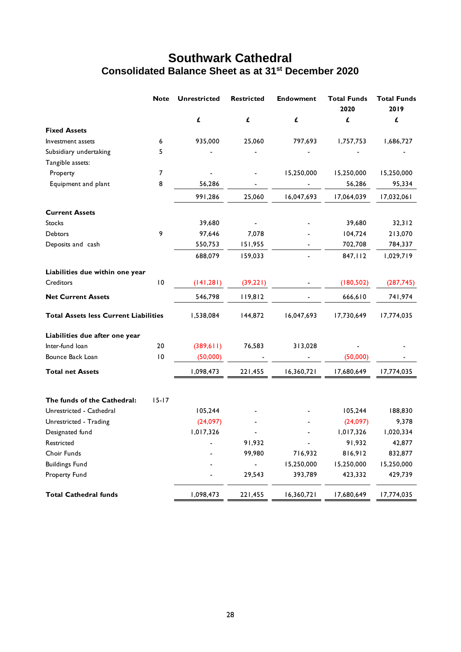## **Southwark Cathedral Consolidated Balance Sheet as at 31st December 2020**

|                                              | <b>Note</b> | <b>Unrestricted</b>   | <b>Restricted</b> | <b>Endowment</b> | <b>Total Funds</b><br>2020 | <b>Total Funds</b><br>2019 |
|----------------------------------------------|-------------|-----------------------|-------------------|------------------|----------------------------|----------------------------|
|                                              |             | £                     | £                 | £                | £                          | £                          |
| <b>Fixed Assets</b>                          |             |                       |                   |                  |                            |                            |
| Investment assets                            | 6           | 935,000               | 25,060            | 797,693          | 1,757,753                  | 1,686,727                  |
| Subsidiary undertaking                       | 5           |                       |                   |                  |                            |                            |
| Tangible assets:                             |             |                       |                   |                  |                            |                            |
| Property                                     | 7           |                       |                   | 15,250,000       | 15,250,000                 | 15,250,000                 |
| Equipment and plant                          | 8           | 56,286                |                   |                  | 56,286                     | 95,334                     |
|                                              |             | 991,286               | 25,060            | 16,047,693       | 17,064,039                 | 17,032,061                 |
| <b>Current Assets</b>                        |             |                       |                   |                  |                            |                            |
| <b>Stocks</b>                                |             | 39,680                |                   |                  | 39,680                     | 32,312                     |
| <b>Debtors</b>                               | 9           | 97,646                | 7,078             |                  | 104,724                    | 213,070                    |
| Deposits and cash                            |             | 550,753               | 151,955           |                  | 702,708                    | 784,337                    |
|                                              |             | 688,079               | 159,033           |                  | 847, II2                   | 1,029,719                  |
| Liabilities due within one year              |             |                       |                   |                  |                            |                            |
| <b>Creditors</b>                             | 10          | (141, 281)            | (39, 221)         |                  | (180, 502)                 | (287, 745)                 |
| <b>Net Current Assets</b>                    |             | 546,798               | 119,812           |                  | 666,610                    | 741,974                    |
| <b>Total Assets less Current Liabilities</b> |             | 1,538,084             | 144,872           | 16,047,693       | 17,730,649                 | 17,774,035                 |
| Liabilities due after one year               |             |                       |                   |                  |                            |                            |
| Inter-fund loan                              | 20          | (389,611)             | 76,583            | 313,028          |                            |                            |
| Bounce Back Loan                             | 10          | (50,000)              |                   |                  | (50,000)                   |                            |
| <b>Total net Assets</b>                      |             | 1,098,473             | 221,455           | 16,360,721       | 17,680,649                 | 17,774,035                 |
|                                              |             |                       |                   |                  |                            |                            |
| The funds of the Cathedral:                  | $15 - 17$   |                       |                   |                  |                            |                            |
| Unrestricted - Cathedral                     |             | 105,244               |                   |                  | 105,244                    | 188,830<br>9,378           |
| Unrestricted - Trading<br>Designated fund    |             | (24,097)<br>1,017,326 |                   |                  | (24,097)<br>1,017,326      | 1,020,334                  |
| Restricted                                   |             |                       | 91,932            | $\blacksquare$   | 91,932                     | 42,877                     |
| Choir Funds                                  |             |                       | 99,980            | 716,932          | 816,912                    | 832,877                    |
| <b>Buildings Fund</b>                        |             |                       |                   | 15,250,000       | 15,250,000                 | 15,250,000                 |
| Property Fund                                |             |                       | 29,543            | 393,789          | 423,332                    | 429,739                    |
|                                              |             |                       |                   |                  |                            |                            |
| <b>Total Cathedral funds</b>                 |             | 1,098,473             | 221,455           | 16,360,721       | 17,680,649                 | 17,774,035                 |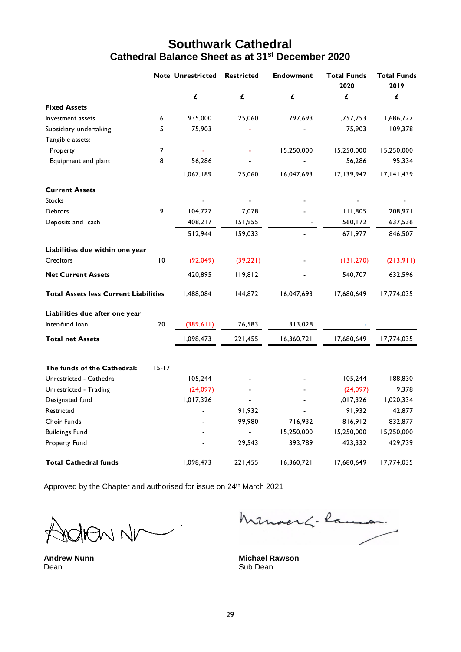## **Southwark Cathedral Cathedral Balance Sheet as at 31st December 2020**

|                                              |                | <b>Note Unrestricted</b> | <b>Restricted</b> | <b>Endowment</b> | <b>Total Funds</b><br>2020 | <b>Total Funds</b><br>2019 |
|----------------------------------------------|----------------|--------------------------|-------------------|------------------|----------------------------|----------------------------|
|                                              |                | £                        | £                 | £                | £                          | £                          |
| <b>Fixed Assets</b>                          |                |                          |                   |                  |                            |                            |
| Investment assets                            | 6              | 935,000                  | 25,060            | 797,693          | 1,757,753                  | 1,686,727                  |
| Subsidiary undertaking                       | 5              | 75,903                   |                   |                  | 75,903                     | 109,378                    |
| Tangible assets:                             |                |                          |                   |                  |                            |                            |
| Property                                     | $\overline{7}$ |                          |                   | 15,250,000       | 15,250,000                 | 15,250,000                 |
| Equipment and plant                          | 8              | 56,286                   |                   |                  | 56,286                     | 95,334                     |
|                                              |                | 1,067,189                | 25,060            | 16,047,693       | 17,139,942                 | 17,141,439                 |
| <b>Current Assets</b>                        |                |                          |                   |                  |                            |                            |
| <b>Stocks</b>                                |                |                          |                   |                  |                            |                            |
| <b>Debtors</b>                               | 9              | 104,727                  | 7,078             |                  | 111,805                    | 208,971                    |
| Deposits and cash                            |                | 408,217                  | 151,955           |                  | 560,172                    | 637,536                    |
|                                              |                | 512,944                  | 159,033           |                  | 671,977                    | 846,507                    |
| Liabilities due within one year              |                |                          |                   |                  |                            |                            |
| Creditors                                    | $\,10$         | (92, 049)                | (39, 221)         |                  | (131, 270)                 | (213,911)                  |
| <b>Net Current Assets</b>                    |                | 420,895                  | 119,812           |                  | 540,707                    | 632,596                    |
| <b>Total Assets less Current Liabilities</b> |                | 1,488,084                | 144,872           | 16,047,693       | 17,680,649                 | 17,774,035                 |
| Liabilities due after one year               |                |                          |                   |                  |                            |                            |
| Inter-fund loan                              | 20             | (389,611)                | 76,583            | 313,028          |                            |                            |
| <b>Total net Assets</b>                      |                | 1,098,473                | 221,455           | 16,360,721       | 17,680,649                 | 17,774,035                 |
| The funds of the Cathedral:                  | $15 - 17$      |                          |                   |                  |                            |                            |
| Unrestricted - Cathedral                     |                | 105,244                  |                   |                  | 105,244                    | 188,830                    |
| Unrestricted - Trading                       |                | (24,097)                 |                   |                  | (24,097)                   | 9,378                      |
| Designated fund                              |                | 1,017,326                |                   |                  | 1,017,326                  | 1,020,334                  |
| Restricted                                   |                |                          | 91,932            |                  | 91,932                     | 42,877                     |
| Choir Funds                                  |                |                          | 99,980            | 716,932          | 816,912                    | 832,877                    |
| <b>Buildings Fund</b>                        |                |                          |                   | 15,250,000       | 15,250,000                 | 15,250,000                 |
| Property Fund                                |                |                          | 29,543            | 393,789          | 423,332                    | 429,739                    |
| <b>Total Cathedral funds</b>                 |                | 1,098,473                | 221,455           | 16,360,721       | 17,680,649                 | 17,774,035                 |

Approved by the Chapter and authorised for issue on 24<sup>th</sup> March 2021

 $M_{\text{UV}}$ 

Dean Sub Dean Sub Dean Sub Dean Sub Dean Sub Dean Sub Dean Sub Dean Sub Dean Sub Dean Sub Dean Sub Dean Sub Dean Sub Dean Sub Dean Sub Dean Sub Dean Sub Dean Sub Dean Sub Dean Sub Dean Sub Dean Sub Dean Sub Dean Sub Dean S

Minaerhi-lama.

**Andrew Nunn Michael Rawson**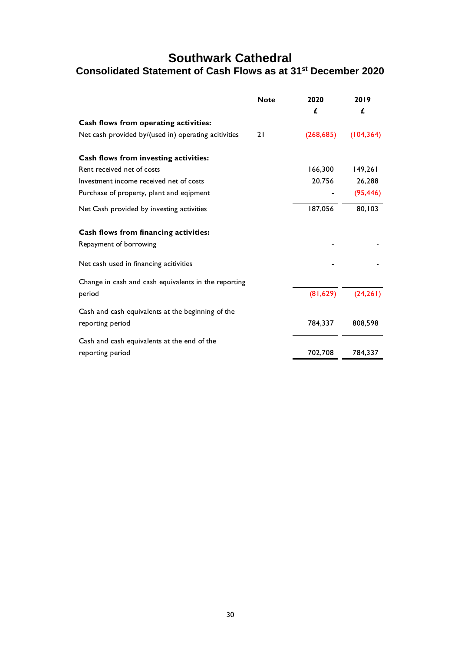## **Southwark Cathedral Consolidated Statement of Cash Flows as at 31st December 2020**

| <b>Note</b> | 2020       | 2019       |
|-------------|------------|------------|
|             | £          | £          |
|             |            |            |
| 21          | (268, 685) | (104, 364) |
|             |            |            |
|             | 166,300    | 149,261    |
|             | 20,756     | 26,288     |
|             |            | (95, 446)  |
|             | 187,056    | 80,103     |
|             |            |            |
|             |            |            |
|             |            |            |
|             |            |            |
|             | (81,629)   | (24, 261)  |
|             |            |            |
|             | 784,337    | 808,598    |
|             |            |            |
|             | 702,708    | 784,337    |
|             |            |            |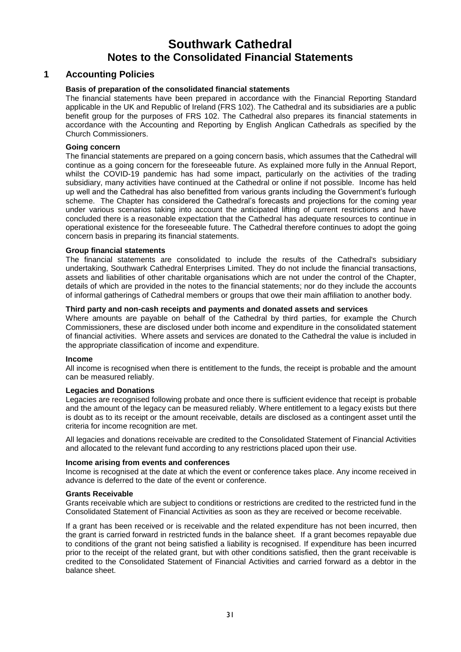## **Southwark Cathedral Notes to the Consolidated Financial Statements**

### **1 Accounting Policies**

#### **Basis of preparation of the consolidated financial statements**

The financial statements have been prepared in accordance with the Financial Reporting Standard applicable in the UK and Republic of Ireland (FRS 102). The Cathedral and its subsidiaries are a public benefit group for the purposes of FRS 102. The Cathedral also prepares its financial statements in accordance with the Accounting and Reporting by English Anglican Cathedrals as specified by the Church Commissioners.

#### **Going concern**

The financial statements are prepared on a going concern basis, which assumes that the Cathedral will continue as a going concern for the foreseeable future. As explained more fully in the Annual Report, whilst the COVID-19 pandemic has had some impact, particularly on the activities of the trading subsidiary, many activities have continued at the Cathedral or online if not possible. Income has held up well and the Cathedral has also benefitted from various grants including the Government's furlough scheme. The Chapter has considered the Cathedral's forecasts and projections for the coming year under various scenarios taking into account the anticipated lifting of current restrictions and have concluded there is a reasonable expectation that the Cathedral has adequate resources to continue in operational existence for the foreseeable future. The Cathedral therefore continues to adopt the going concern basis in preparing its financial statements.

#### **Group financial statements**

The financial statements are consolidated to include the results of the Cathedral's subsidiary undertaking, Southwark Cathedral Enterprises Limited. They do not include the financial transactions, assets and liabilities of other charitable organisations which are not under the control of the Chapter, details of which are provided in the notes to the financial statements; nor do they include the accounts of informal gatherings of Cathedral members or groups that owe their main affiliation to another body.

### **Third party and non-cash receipts and payments and donated assets and services**

Where amounts are payable on behalf of the Cathedral by third parties, for example the Church Commissioners, these are disclosed under both income and expenditure in the consolidated statement of financial activities. Where assets and services are donated to the Cathedral the value is included in the appropriate classification of income and expenditure.

#### **Income**

All income is recognised when there is entitlement to the funds, the receipt is probable and the amount can be measured reliably.

#### **Legacies and Donations**

Legacies are recognised following probate and once there is sufficient evidence that receipt is probable and the amount of the legacy can be measured reliably. Where entitlement to a legacy exists but there is doubt as to its receipt or the amount receivable, details are disclosed as a contingent asset until the criteria for income recognition are met.

All legacies and donations receivable are credited to the Consolidated Statement of Financial Activities and allocated to the relevant fund according to any restrictions placed upon their use.

#### **Income arising from events and conferences**

Income is recognised at the date at which the event or conference takes place. Any income received in advance is deferred to the date of the event or conference.

#### **Grants Receivable**

Grants receivable which are subject to conditions or restrictions are credited to the restricted fund in the Consolidated Statement of Financial Activities as soon as they are received or become receivable.

If a grant has been received or is receivable and the related expenditure has not been incurred, then the grant is carried forward in restricted funds in the balance sheet. If a grant becomes repayable due to conditions of the grant not being satisfied a liability is recognised. If expenditure has been incurred prior to the receipt of the related grant, but with other conditions satisfied, then the grant receivable is credited to the Consolidated Statement of Financial Activities and carried forward as a debtor in the balance sheet.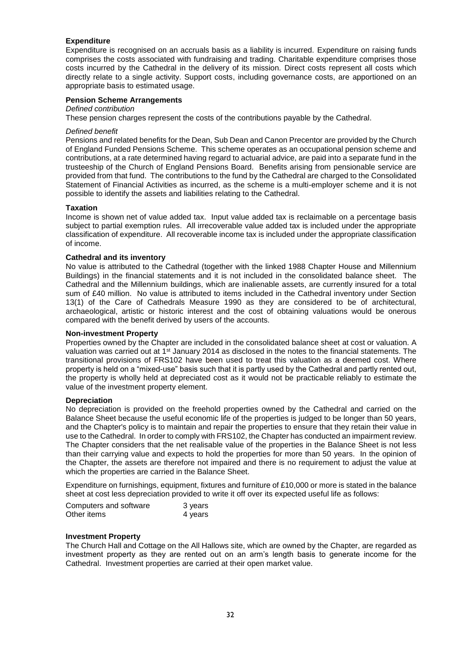#### **Expenditure**

Expenditure is recognised on an accruals basis as a liability is incurred. Expenditure on raising funds comprises the costs associated with fundraising and trading. Charitable expenditure comprises those costs incurred by the Cathedral in the delivery of its mission. Direct costs represent all costs which directly relate to a single activity. Support costs, including governance costs, are apportioned on an appropriate basis to estimated usage.

#### **Pension Scheme Arrangements**

### *Defined contribution*

These pension charges represent the costs of the contributions payable by the Cathedral.

#### *Defined benefit*

Pensions and related benefits for the Dean, Sub Dean and Canon Precentor are provided by the Church of England Funded Pensions Scheme. This scheme operates as an occupational pension scheme and contributions, at a rate determined having regard to actuarial advice, are paid into a separate fund in the trusteeship of the Church of England Pensions Board. Benefits arising from pensionable service are provided from that fund. The contributions to the fund by the Cathedral are charged to the Consolidated Statement of Financial Activities as incurred, as the scheme is a multi-employer scheme and it is not possible to identify the assets and liabilities relating to the Cathedral.

#### **Taxation**

Income is shown net of value added tax. Input value added tax is reclaimable on a percentage basis subject to partial exemption rules. All irrecoverable value added tax is included under the appropriate classification of expenditure. All recoverable income tax is included under the appropriate classification of income.

#### **Cathedral and its inventory**

No value is attributed to the Cathedral (together with the linked 1988 Chapter House and Millennium Buildings) in the financial statements and it is not included in the consolidated balance sheet. The Cathedral and the Millennium buildings, which are inalienable assets, are currently insured for a total sum of £40 million. No value is attributed to items included in the Cathedral inventory under Section 13(1) of the Care of Cathedrals Measure 1990 as they are considered to be of architectural, archaeological, artistic or historic interest and the cost of obtaining valuations would be onerous compared with the benefit derived by users of the accounts.

#### **Non-investment Property**

Properties owned by the Chapter are included in the consolidated balance sheet at cost or valuation. A valuation was carried out at 1<sup>st</sup> January 2014 as disclosed in the notes to the financial statements. The transitional provisions of FRS102 have been used to treat this valuation as a deemed cost. Where property is held on a "mixed-use" basis such that it is partly used by the Cathedral and partly rented out, the property is wholly held at depreciated cost as it would not be practicable reliably to estimate the value of the investment property element.

#### **Depreciation**

No depreciation is provided on the freehold properties owned by the Cathedral and carried on the Balance Sheet because the useful economic life of the properties is judged to be longer than 50 years, and the Chapter's policy is to maintain and repair the properties to ensure that they retain their value in use to the Cathedral. In order to comply with FRS102, the Chapter has conducted an impairment review. The Chapter considers that the net realisable value of the properties in the Balance Sheet is not less than their carrying value and expects to hold the properties for more than 50 years. In the opinion of the Chapter, the assets are therefore not impaired and there is no requirement to adjust the value at which the properties are carried in the Balance Sheet.

Expenditure on furnishings, equipment, fixtures and furniture of £10,000 or more is stated in the balance sheet at cost less depreciation provided to write it off over its expected useful life as follows:

| Computers and software | 3 years |
|------------------------|---------|
| Other items            | 4 years |

#### **Investment Property**

The Church Hall and Cottage on the All Hallows site, which are owned by the Chapter, are regarded as investment property as they are rented out on an arm's length basis to generate income for the Cathedral. Investment properties are carried at their open market value.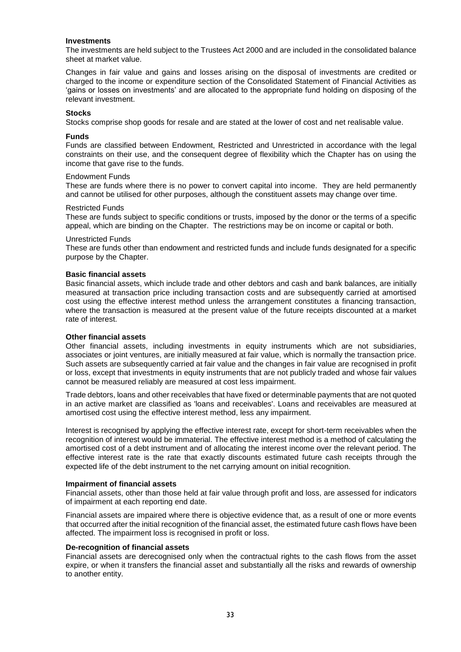#### **Investments**

The investments are held subject to the Trustees Act 2000 and are included in the consolidated balance sheet at market value.

Changes in fair value and gains and losses arising on the disposal of investments are credited or charged to the income or expenditure section of the Consolidated Statement of Financial Activities as 'gains or losses on investments' and are allocated to the appropriate fund holding on disposing of the relevant investment.

#### **Stocks**

Stocks comprise shop goods for resale and are stated at the lower of cost and net realisable value.

#### **Funds**

Funds are classified between Endowment, Restricted and Unrestricted in accordance with the legal constraints on their use, and the consequent degree of flexibility which the Chapter has on using the income that gave rise to the funds.

#### Endowment Funds

These are funds where there is no power to convert capital into income. They are held permanently and cannot be utilised for other purposes, although the constituent assets may change over time.

#### Restricted Funds

These are funds subject to specific conditions or trusts, imposed by the donor or the terms of a specific appeal, which are binding on the Chapter. The restrictions may be on income or capital or both.

#### Unrestricted Funds

These are funds other than endowment and restricted funds and include funds designated for a specific purpose by the Chapter.

#### **Basic financial assets**

Basic financial assets, which include trade and other debtors and cash and bank balances, are initially measured at transaction price including transaction costs and are subsequently carried at amortised cost using the effective interest method unless the arrangement constitutes a financing transaction, where the transaction is measured at the present value of the future receipts discounted at a market rate of interest.

#### **Other financial assets**

Other financial assets, including investments in equity instruments which are not subsidiaries, associates or joint ventures, are initially measured at fair value, which is normally the transaction price. Such assets are subsequently carried at fair value and the changes in fair value are recognised in profit or loss, except that investments in equity instruments that are not publicly traded and whose fair values cannot be measured reliably are measured at cost less impairment.

Trade debtors, loans and other receivables that have fixed or determinable payments that are not quoted in an active market are classified as 'loans and receivables'. Loans and receivables are measured at amortised cost using the effective interest method, less any impairment.

Interest is recognised by applying the effective interest rate, except for short-term receivables when the recognition of interest would be immaterial. The effective interest method is a method of calculating the amortised cost of a debt instrument and of allocating the interest income over the relevant period. The effective interest rate is the rate that exactly discounts estimated future cash receipts through the expected life of the debt instrument to the net carrying amount on initial recognition.

#### **Impairment of financial assets**

Financial assets, other than those held at fair value through profit and loss, are assessed for indicators of impairment at each reporting end date.

Financial assets are impaired where there is objective evidence that, as a result of one or more events that occurred after the initial recognition of the financial asset, the estimated future cash flows have been affected. The impairment loss is recognised in profit or loss.

#### **De-recognition of financial assets**

Financial assets are derecognised only when the contractual rights to the cash flows from the asset expire, or when it transfers the financial asset and substantially all the risks and rewards of ownership to another entity.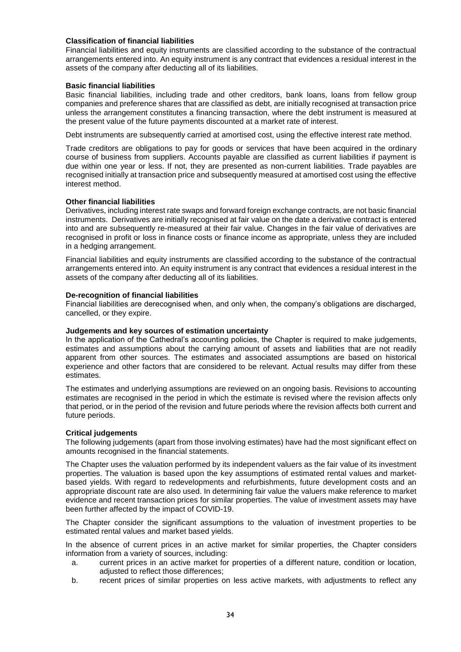#### **Classification of financial liabilities**

Financial liabilities and equity instruments are classified according to the substance of the contractual arrangements entered into. An equity instrument is any contract that evidences a residual interest in the assets of the company after deducting all of its liabilities.

#### **Basic financial liabilities**

Basic financial liabilities, including trade and other creditors, bank loans, loans from fellow group companies and preference shares that are classified as debt, are initially recognised at transaction price unless the arrangement constitutes a financing transaction, where the debt instrument is measured at the present value of the future payments discounted at a market rate of interest.

Debt instruments are subsequently carried at amortised cost, using the effective interest rate method.

Trade creditors are obligations to pay for goods or services that have been acquired in the ordinary course of business from suppliers. Accounts payable are classified as current liabilities if payment is due within one year or less. If not, they are presented as non-current liabilities. Trade payables are recognised initially at transaction price and subsequently measured at amortised cost using the effective interest method.

#### **Other financial liabilities**

Derivatives, including interest rate swaps and forward foreign exchange contracts, are not basic financial instruments. Derivatives are initially recognised at fair value on the date a derivative contract is entered into and are subsequently re-measured at their fair value. Changes in the fair value of derivatives are recognised in profit or loss in finance costs or finance income as appropriate, unless they are included in a hedging arrangement.

Financial liabilities and equity instruments are classified according to the substance of the contractual arrangements entered into. An equity instrument is any contract that evidences a residual interest in the assets of the company after deducting all of its liabilities.

#### **De-recognition of financial liabilities**

Financial liabilities are derecognised when, and only when, the company's obligations are discharged, cancelled, or they expire.

#### **Judgements and key sources of estimation uncertainty**

In the application of the Cathedral's accounting policies, the Chapter is required to make judgements, estimates and assumptions about the carrying amount of assets and liabilities that are not readily apparent from other sources. The estimates and associated assumptions are based on historical experience and other factors that are considered to be relevant. Actual results may differ from these estimates.

The estimates and underlying assumptions are reviewed on an ongoing basis. Revisions to accounting estimates are recognised in the period in which the estimate is revised where the revision affects only that period, or in the period of the revision and future periods where the revision affects both current and future periods.

#### **Critical judgements**

The following judgements (apart from those involving estimates) have had the most significant effect on amounts recognised in the financial statements.

The Chapter uses the valuation performed by its independent valuers as the fair value of its investment properties. The valuation is based upon the key assumptions of estimated rental values and marketbased yields. With regard to redevelopments and refurbishments, future development costs and an appropriate discount rate are also used. In determining fair value the valuers make reference to market evidence and recent transaction prices for similar properties. The value of investment assets may have been further affected by the impact of COVID-19.

The Chapter consider the significant assumptions to the valuation of investment properties to be estimated rental values and market based yields.

In the absence of current prices in an active market for similar properties, the Chapter considers information from a variety of sources, including:

- a. current prices in an active market for properties of a different nature, condition or location, adjusted to reflect those differences;
- b. recent prices of similar properties on less active markets, with adjustments to reflect any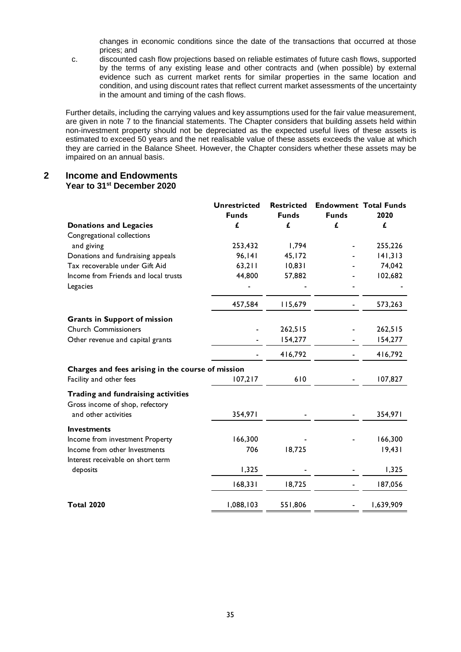changes in economic conditions since the date of the transactions that occurred at those prices; and

c. discounted cash flow projections based on reliable estimates of future cash flows, supported by the terms of any existing lease and other contracts and (when possible) by external evidence such as current market rents for similar properties in the same location and condition, and using discount rates that reflect current market assessments of the uncertainty in the amount and timing of the cash flows.

Further details, including the carrying values and key assumptions used for the fair value measurement, are given in note 7 to the financial statements. The Chapter considers that building assets held within non-investment property should not be depreciated as the expected useful lives of these assets is estimated to exceed 50 years and the net realisable value of these assets exceeds the value at which they are carried in the Balance Sheet. However, the Chapter considers whether these assets may be impaired on an annual basis.

#### **2 Income and Endowments Year to 31st December 2020**

|                                                   | <b>Unrestricted</b><br><b>Funds</b> | <b>Restricted</b><br><b>Funds</b> | <b>Funds</b> | <b>Endowment Total Funds</b><br>2020 |
|---------------------------------------------------|-------------------------------------|-----------------------------------|--------------|--------------------------------------|
| <b>Donations and Legacies</b>                     | £                                   | £                                 | £            | £                                    |
| Congregational collections                        |                                     |                                   |              |                                      |
| and giving                                        | 253,432                             | 1,794                             |              | 255,226                              |
| Donations and fundraising appeals                 | 96,141                              | 45,172                            |              | 141,313                              |
| Tax recoverable under Gift Aid                    | 63,211                              | 10,831                            |              | 74,042                               |
| Income from Friends and local trusts              | 44,800                              | 57,882                            |              | 102,682                              |
| Legacies                                          |                                     |                                   |              |                                      |
|                                                   | 457,584                             | 115,679                           |              | 573,263                              |
| <b>Grants in Support of mission</b>               |                                     |                                   |              |                                      |
| <b>Church Commissioners</b>                       |                                     | 262,515                           |              | 262,515                              |
| Other revenue and capital grants                  |                                     | 154,277                           |              | 154,277                              |
|                                                   |                                     | 416,792                           |              | 416,792                              |
| Charges and fees arising in the course of mission |                                     |                                   |              |                                      |
| Facility and other fees                           | 107,217                             | 610                               |              | 107,827                              |
| Trading and fundraising activities                |                                     |                                   |              |                                      |
| Gross income of shop, refectory                   |                                     |                                   |              |                                      |
| and other activities                              | 354,971                             |                                   |              | 354,971                              |
| <b>Investments</b>                                |                                     |                                   |              |                                      |
| Income from investment Property                   | 166,300                             |                                   |              | 166,300                              |
| Income from other Investments                     | 706                                 | 18,725                            |              | 19,431                               |
| Interest receivable on short term                 |                                     |                                   |              |                                      |
| deposits                                          | 1,325                               |                                   |              | 1,325                                |
|                                                   | 168,331                             | 18,725                            |              | 187,056                              |
| <b>Total 2020</b>                                 | 1,088,103                           | 551,806                           |              | 1,639,909                            |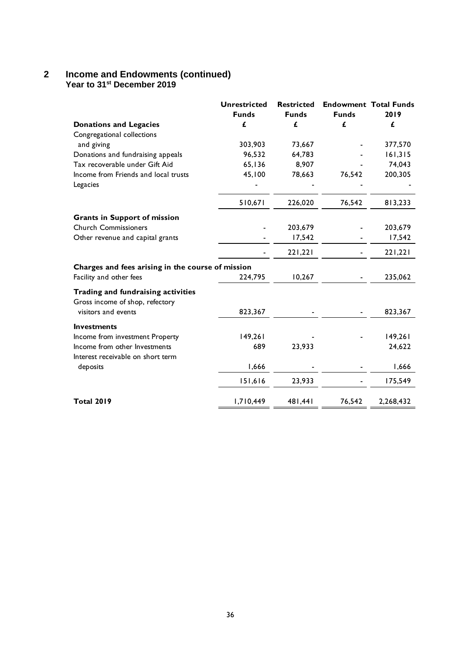## **2 Income and Endowments (continued) Year to 31st December 2019**

|                                                                       | <b>Unrestricted</b> | <b>Restricted</b> |              | <b>Endowment Total Funds</b> |
|-----------------------------------------------------------------------|---------------------|-------------------|--------------|------------------------------|
|                                                                       | <b>Funds</b>        | <b>Funds</b>      | <b>Funds</b> | 2019                         |
| <b>Donations and Legacies</b>                                         | £                   | £                 | £            | £                            |
| Congregational collections                                            |                     |                   |              |                              |
| and giving                                                            | 303,903             | 73,667            |              | 377,570                      |
| Donations and fundraising appeals                                     | 96,532              | 64,783            |              | 161,315                      |
| Tax recoverable under Gift Aid                                        | 65,136              | 8,907             |              | 74,043                       |
| Income from Friends and local trusts                                  | 45,100              | 78,663            | 76,542       | 200,305                      |
| Legacies                                                              |                     |                   |              |                              |
|                                                                       | 510,671             | 226,020           | 76,542       | 813,233                      |
| <b>Grants in Support of mission</b>                                   |                     |                   |              |                              |
| <b>Church Commissioners</b>                                           |                     | 203,679           |              | 203,679                      |
| Other revenue and capital grants                                      |                     | 17,542            |              | 17,542                       |
|                                                                       |                     | 1221,221          |              | 1221,221                     |
| Charges and fees arising in the course of mission                     |                     |                   |              |                              |
| Facility and other fees                                               | 224,795             | 10,267            |              | 235,062                      |
| Trading and fundraising activities<br>Gross income of shop, refectory |                     |                   |              |                              |
| visitors and events                                                   | 823,367             |                   |              | 823,367                      |
| <b>Investments</b>                                                    |                     |                   |              |                              |
| Income from investment Property                                       | 149,261             |                   |              | 149,261                      |
| Income from other Investments                                         | 689                 | 23,933            |              | 24,622                       |
| Interest receivable on short term                                     |                     |                   |              |                              |
| deposits                                                              | 1,666               |                   |              | 1,666                        |
|                                                                       | 151,616             | 23,933            |              | 175,549                      |
| <b>Total 2019</b>                                                     | 1,710,449           | 481,441           | 76,542       | 2,268,432                    |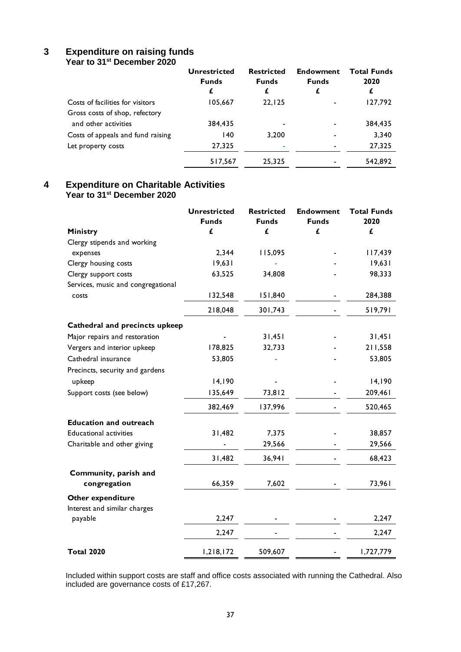## **3 Expenditure on raising funds Year to 31st December 2020**

|                                   | <b>Unrestricted</b><br><b>Funds</b><br>£ | <b>Restricted</b><br><b>Funds</b><br>£ | <b>Endowment</b><br><b>Funds</b><br>£ | <b>Total Funds</b><br>2020 |
|-----------------------------------|------------------------------------------|----------------------------------------|---------------------------------------|----------------------------|
| Costs of facilities for visitors  | 105,667                                  | 22,125                                 |                                       | 127,792                    |
| Gross costs of shop, refectory    |                                          |                                        |                                       |                            |
| and other activities              | 384,435                                  | ٠                                      |                                       | 384,435                    |
| Costs of appeals and fund raising | 140                                      | 3.200                                  |                                       | 3,340                      |
| Let property costs                | 27,325                                   | ۰                                      |                                       | 27,325                     |
|                                   | 517,567                                  | 25.325                                 |                                       | 542.892                    |

### **4 Expenditure on Charitable Activities Year to 31st December 2020**

|                                                   | <b>Unrestricted</b><br><b>Funds</b> | <b>Restricted</b><br><b>Funds</b> | <b>Endowment</b><br><b>Funds</b> | <b>Total Funds</b><br>2020 |
|---------------------------------------------------|-------------------------------------|-----------------------------------|----------------------------------|----------------------------|
| Ministry                                          | £                                   | £                                 | £                                | £                          |
| Clergy stipends and working                       |                                     |                                   |                                  |                            |
| expenses                                          | 2,344                               | 115,095                           |                                  | 117,439                    |
| Clergy housing costs                              | 19,631                              |                                   |                                  | 19,631                     |
| Clergy support costs                              | 63,525                              | 34,808                            |                                  | 98,333                     |
| Services, music and congregational                |                                     |                                   |                                  |                            |
| costs                                             | 132,548                             | 151,840                           |                                  | 284,388                    |
|                                                   | 218,048                             | 301,743                           |                                  | 519,791                    |
| Cathedral and precincts upkeep                    |                                     |                                   |                                  |                            |
| Major repairs and restoration                     |                                     | 31,451                            |                                  | 31,451                     |
| Vergers and interior upkeep                       | 178,825                             | 32,733                            |                                  | 211,558                    |
| Cathedral insurance                               | 53,805                              |                                   |                                  | 53,805                     |
| Precincts, security and gardens                   |                                     |                                   |                                  |                            |
| upkeep                                            | 14,190                              |                                   |                                  | 14,190                     |
| Support costs (see below)                         | 135,649                             | 73,812                            |                                  | 209,461                    |
|                                                   | 382,469                             | 137,996                           |                                  | 520,465                    |
| <b>Education and outreach</b>                     |                                     |                                   |                                  |                            |
| <b>Educational activities</b>                     | 31,482                              | 7,375                             |                                  | 38,857                     |
| Charitable and other giving                       |                                     | 29,566                            |                                  | 29,566                     |
|                                                   | 31,482                              | 36,941                            |                                  | 68,423                     |
| Community, parish and<br>congregation             | 66,359                              | 7,602                             |                                  | 73,961                     |
|                                                   |                                     |                                   |                                  |                            |
| Other expenditure<br>Interest and similar charges |                                     |                                   |                                  |                            |
| payable                                           | 2,247                               |                                   |                                  | 2,247                      |
|                                                   | 2,247                               |                                   |                                  | 2,247                      |
|                                                   |                                     |                                   |                                  |                            |
| <b>Total 2020</b>                                 | 1,218,172                           | 509,607                           |                                  | 1,727,779                  |

Included within support costs are staff and office costs associated with running the Cathedral. Also included are governance costs of £17,267.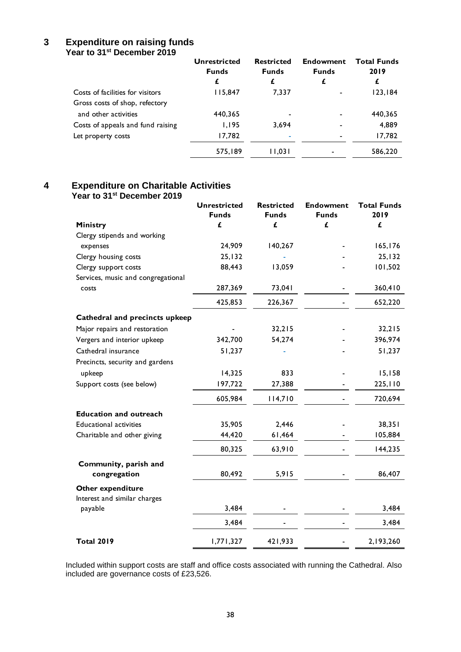## **3 Expenditure on raising funds Year to 31st December 2019**

|                                   | <b>Unrestricted</b><br><b>Funds</b><br>£ | <b>Restricted</b><br><b>Funds</b><br>£ | <b>Endowment</b><br><b>Funds</b> | <b>Total Funds</b><br>2019<br>£ |
|-----------------------------------|------------------------------------------|----------------------------------------|----------------------------------|---------------------------------|
| Costs of facilities for visitors  | 115,847                                  | 7,337                                  |                                  | 123,184                         |
| Gross costs of shop, refectory    |                                          |                                        |                                  |                                 |
| and other activities              | 440,365                                  |                                        |                                  | 440,365                         |
| Costs of appeals and fund raising | 1,195                                    | 3.694                                  |                                  | 4,889                           |
| Let property costs                | 17,782                                   |                                        |                                  | 17,782                          |
|                                   | 575,189                                  | 11.031                                 |                                  | 586,220                         |

## **4 Expenditure on Charitable Activities Year to 31st December 2019**

|                                                   | <b>Unrestricted</b><br><b>Funds</b> | <b>Restricted</b><br><b>Funds</b> | <b>Endowment</b><br><b>Funds</b> | <b>Total Funds</b><br>2019 |
|---------------------------------------------------|-------------------------------------|-----------------------------------|----------------------------------|----------------------------|
| Ministry                                          | £                                   | £                                 | £                                | £                          |
| Clergy stipends and working                       |                                     |                                   |                                  |                            |
| expenses                                          | 24,909                              | 140,267                           |                                  | 165, 176                   |
| Clergy housing costs                              | 25,132                              |                                   |                                  | 25,132                     |
| Clergy support costs                              | 88,443                              | 13,059                            |                                  | 101,502                    |
| Services, music and congregational                |                                     |                                   |                                  |                            |
| costs                                             | 287,369                             | 73,041                            |                                  | 360,410                    |
|                                                   | 425,853                             | 226,367                           |                                  | 652,220                    |
| Cathedral and precincts upkeep                    |                                     |                                   |                                  |                            |
| Major repairs and restoration                     |                                     | 32,215                            |                                  | 32,215                     |
| Vergers and interior upkeep                       | 342,700                             | 54,274                            |                                  | 396,974                    |
| Cathedral insurance                               | 51,237                              |                                   |                                  | 51,237                     |
| Precincts, security and gardens                   |                                     |                                   |                                  |                            |
| upkeep                                            | 14,325                              | 833                               |                                  | 15,158                     |
| Support costs (see below)                         | 197,722                             | 27,388                            |                                  | 225,110                    |
|                                                   | 605,984                             | 114,710                           |                                  | 720,694                    |
| <b>Education and outreach</b>                     |                                     |                                   |                                  |                            |
| <b>Educational activities</b>                     | 35,905                              | 2,446                             |                                  | 38,351                     |
| Charitable and other giving                       | 44,420                              | 61,464                            |                                  | 105,884                    |
|                                                   | 80,325                              | 63,910                            |                                  | 144,235                    |
| Community, parish and                             |                                     |                                   |                                  |                            |
| congregation                                      | 80,492                              | 5,915                             |                                  | 86,407                     |
| Other expenditure<br>Interest and similar charges |                                     |                                   |                                  |                            |
| payable                                           | 3,484                               |                                   |                                  | 3,484                      |
|                                                   | 3,484                               |                                   |                                  | 3,484                      |
| <b>Total 2019</b>                                 | 1,771,327                           | 421,933                           |                                  | 2,193,260                  |

Included within support costs are staff and office costs associated with running the Cathedral. Also included are governance costs of £23,526.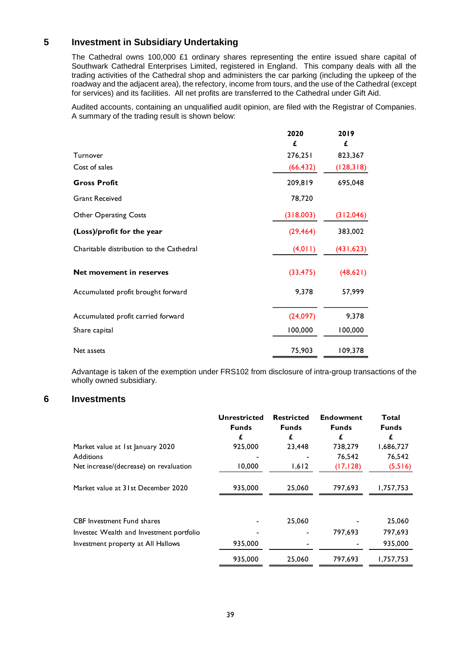## **5 Investment in Subsidiary Undertaking**

The Cathedral owns 100,000 £1 ordinary shares representing the entire issued share capital of Southwark Cathedral Enterprises Limited, registered in England. This company deals with all the trading activities of the Cathedral shop and administers the car parking (including the upkeep of the roadway and the adjacent area), the refectory, income from tours, and the use of the Cathedral (except for services) and its facilities. All net profits are transferred to the Cathedral under Gift Aid.

Audited accounts, containing an unqualified audit opinion, are filed with the Registrar of Companies. A summary of the trading result is shown below:

|                                          | 2020      | 2019       |
|------------------------------------------|-----------|------------|
|                                          | £         | £          |
| Turnover                                 | 276,251   | 823,367    |
| Cost of sales                            | (66, 432) | (128, 318) |
| <b>Gross Profit</b>                      | 209,819   | 695,048    |
| <b>Grant Received</b>                    | 78,720    |            |
| Other Operating Costs                    | (318,003) | (312,046)  |
| (Loss)/profit for the year               | (29, 464) | 383,002    |
| Charitable distribution to the Cathedral | (4, 011)  | (431, 623) |
| Net movement in reserves                 | (33, 475) | (48,621)   |
| Accumulated profit brought forward       | 9,378     | 57,999     |
| Accumulated profit carried forward       | (24,097)  | 9,378      |
| Share capital                            | 100,000   | 100,000    |
| Net assets                               | 75,903    | 109,378    |

Advantage is taken of the exemption under FRS102 from disclosure of intra-group transactions of the wholly owned subsidiary.

## **6 Investments**

|                                          | <b>Unrestricted</b><br><b>Funds</b> | <b>Restricted</b><br><b>Funds</b> | <b>Endowment</b><br><b>Funds</b> | Total<br><b>Funds</b> |
|------------------------------------------|-------------------------------------|-----------------------------------|----------------------------------|-----------------------|
|                                          | £                                   | £                                 | £                                | £                     |
| Market value at 1st January 2020         | 925,000                             | 23,448                            | 738,279                          | 1,686,727             |
| <b>Additions</b>                         |                                     |                                   | 76,542                           | 76,542                |
| Net increase/(decrease) on revaluation   | 10,000                              | 1,612                             | (17, 128)                        | (5,516)               |
| Market value at 31st December 2020       | 935,000                             | 25,060                            | 797.693                          | 1,757,753             |
| <b>CBF</b> Investment Fund shares        |                                     | 25,060                            |                                  | 25,060                |
| Investec Wealth and Investment portfolio |                                     |                                   | 797.693                          | 797.693               |
| Investment property at All Hallows       | 935,000                             |                                   |                                  | 935,000               |
|                                          | 935.000                             | 25,060                            | 797.693                          | 1,757,753             |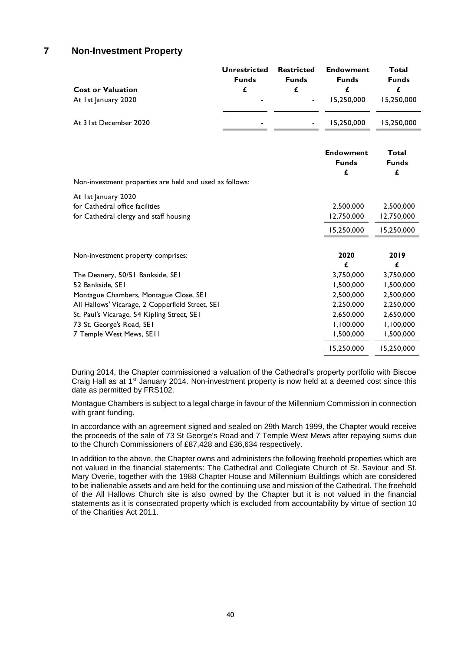## **7 Non-Investment Property**

| <b>Cost or Valuation</b><br>At 1st January 2020                                                  | <b>Unrestricted</b><br><b>Funds</b><br>£ | <b>Restricted</b><br><b>Funds</b><br>£ | <b>Endowment</b><br><b>Funds</b><br>£<br>15,250,000 | <b>Total</b><br><b>Funds</b><br>£<br>15,250,000 |
|--------------------------------------------------------------------------------------------------|------------------------------------------|----------------------------------------|-----------------------------------------------------|-------------------------------------------------|
| At 31st December 2020                                                                            |                                          |                                        | 15,250,000                                          | 15,250,000                                      |
| Non-investment properties are held and used as follows:                                          |                                          |                                        | <b>Endowment</b><br><b>Funds</b><br>£               | Total<br><b>Funds</b><br>£                      |
|                                                                                                  |                                          |                                        |                                                     |                                                 |
| At 1st January 2020<br>for Cathedral office facilities<br>for Cathedral clergy and staff housing |                                          |                                        | 2,500,000<br>12,750,000                             | 2,500,000<br>12,750,000                         |
|                                                                                                  |                                          |                                        | 15,250,000                                          | 15,250,000                                      |
| Non-investment property comprises:                                                               |                                          |                                        | 2020<br>£                                           | 2019<br>£                                       |
| The Deanery, 50/51 Bankside, SE1                                                                 |                                          |                                        | 3,750,000                                           | 3,750,000                                       |
| 52 Bankside, SEI                                                                                 |                                          |                                        | 1,500,000                                           | 1,500,000                                       |
| Montague Chambers, Montague Close, SEI                                                           |                                          |                                        | 2,500,000                                           | 2,500,000                                       |
| All Hallows' Vicarage, 2 Copperfield Street, SEI                                                 |                                          |                                        | 2,250,000                                           | 2,250,000                                       |
| St. Paul's Vicarage, 54 Kipling Street, SEI                                                      |                                          |                                        | 2,650,000                                           | 2,650,000                                       |
| 73 St. George's Road, SEI                                                                        |                                          |                                        | 1,100,000                                           | 1,100,000                                       |
| 7 Temple West Mews, SEII                                                                         |                                          |                                        | 1,500,000                                           | 1,500,000                                       |
|                                                                                                  |                                          |                                        | 15,250,000                                          | 15,250,000                                      |

During 2014, the Chapter commissioned a valuation of the Cathedral's property portfolio with Biscoe Craig Hall as at 1<sup>st</sup> January 2014. Non-investment property is now held at a deemed cost since this date as permitted by FRS102.

Montague Chambers is subject to a legal charge in favour of the Millennium Commission in connection with grant funding.

In accordance with an agreement signed and sealed on 29th March 1999, the Chapter would receive the proceeds of the sale of 73 St George's Road and 7 Temple West Mews after repaying sums due to the Church Commissioners of £87,428 and £36,634 respectively.

In addition to the above, the Chapter owns and administers the following freehold properties which are not valued in the financial statements: The Cathedral and Collegiate Church of St. Saviour and St. Mary Overie, together with the 1988 Chapter House and Millennium Buildings which are considered to be inalienable assets and are held for the continuing use and mission of the Cathedral. The freehold of the All Hallows Church site is also owned by the Chapter but it is not valued in the financial statements as it is consecrated property which is excluded from accountability by virtue of section 10 of the Charities Act 2011.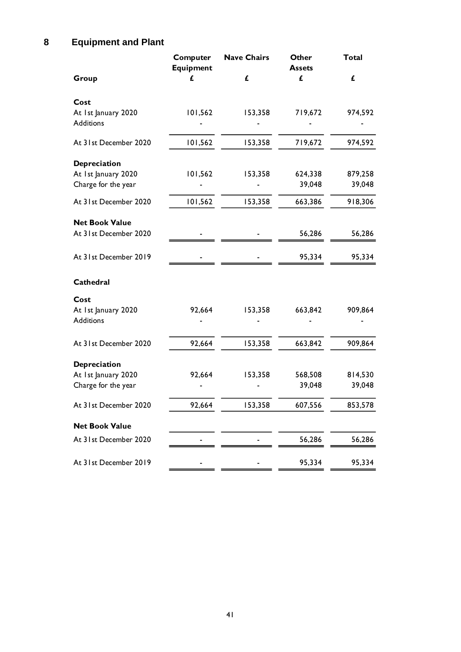## **8 Equipment and Plant**

|                       | Computer<br>Equipment | <b>Nave Chairs</b> | Other<br><b>Assets</b> | <b>Total</b> |
|-----------------------|-----------------------|--------------------|------------------------|--------------|
| Group                 | £                     | £                  | £                      | £            |
| Cost                  |                       |                    |                        |              |
| At 1st January 2020   | 101,562               | 153,358            | 719,672                | 974,592      |
| <b>Additions</b>      |                       |                    |                        |              |
| At 31st December 2020 | 101,562               | 153,358            | 719,672                | 974,592      |
| Depreciation          |                       |                    |                        |              |
| At 1st January 2020   | 101,562               | 153,358            | 624,338                | 879,258      |
| Charge for the year   |                       |                    | 39,048                 | 39,048       |
| At 31st December 2020 | 101,562               | 153,358            | 663,386                | 918,306      |
| <b>Net Book Value</b> |                       |                    |                        |              |
| At 31st December 2020 |                       |                    | 56,286                 | 56,286       |
| At 31st December 2019 |                       |                    | 95,334                 | 95,334       |
| Cathedral             |                       |                    |                        |              |
| Cost                  |                       |                    |                        |              |
| At 1st January 2020   | 92,664                | 153,358            | 663,842                | 909,864      |
| <b>Additions</b>      |                       |                    |                        |              |
| At 31st December 2020 | 92,664                | 153,358            | 663,842                | 909,864      |
|                       |                       |                    |                        |              |
| Depreciation          |                       |                    |                        |              |
| At 1st January 2020   | 92,664                | 153,358            | 568,508                | 814,530      |
| Charge for the year   |                       |                    | 39,048                 | 39,048       |
| At 31st December 2020 | 92,664                | 153,358            | 607,556                | 853,578      |
| <b>Net Book Value</b> |                       |                    |                        |              |
| At 31st December 2020 |                       |                    | 56,286                 | 56,286       |
|                       |                       |                    |                        |              |
| At 31st December 2019 |                       |                    | 95,334                 | 95,334       |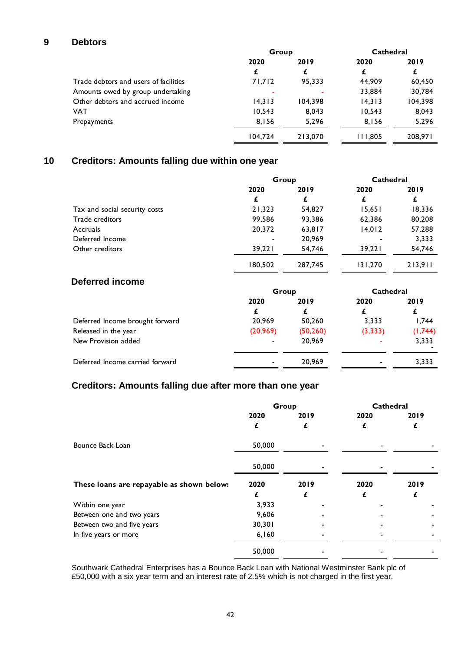## **9 Debtors**

|                                       | Group   |         | <b>Cathedral</b> |         |
|---------------------------------------|---------|---------|------------------|---------|
|                                       | 2020    | 2019    | 2020             | 2019    |
|                                       |         | £       | £                | £       |
| Trade debtors and users of facilities | 71.712  | 95.333  | 44,909           | 60,450  |
| Amounts owed by group undertaking     | -       |         | 33,884           | 30,784  |
| Other debtors and accrued income      | 14,313  | 104.398 | 14,313           | 104,398 |
| <b>VAT</b>                            | 10,543  | 8,043   | 10,543           | 8,043   |
| Prepayments                           | 8,156   | 5.296   | 8.156            | 5,296   |
|                                       | 104.724 | 213.070 | 11.805           | 208.971 |

## **10 Creditors: Amounts falling due within one year**

|                               | Group   |         | <b>Cathedral</b> |         |
|-------------------------------|---------|---------|------------------|---------|
|                               | 2020    | 2019    | 2020             | 2019    |
|                               | £       | £       | £                | £       |
| Tax and social security costs | 21,323  | 54,827  | 15,651           | 18,336  |
| Trade creditors               | 99,586  | 93,386  | 62,386           | 80,208  |
| Accruals                      | 20,372  | 63,817  | 14,012           | 57,288  |
| Deferred Income               |         | 20.969  |                  | 3,333   |
| Other creditors               | 39.221  | 54.746  | 39.221           | 54,746  |
|                               | 180,502 | 287,745 | 131,270          | 213.911 |

## **Deferred income**

|                                 | Group          |           | <b>Cathedral</b> |         |
|---------------------------------|----------------|-----------|------------------|---------|
|                                 | 2020           | 2019      | 2020             | 2019    |
|                                 |                |           |                  | £       |
| Deferred Income brought forward | 20,969         | 50,260    | 3,333            | 1,744   |
| Released in the year            | (20, 969)      | (50, 260) | (3, 333)         | (1,744) |
| New Provision added             |                | 20,969    |                  | 3,333   |
| Deferred Income carried forward | $\blacksquare$ | 20,969    | $\blacksquare$   | 3,333   |

## **Creditors: Amounts falling due after more than one year**

|                                           | Group     |           | <b>Cathedral</b> |      |
|-------------------------------------------|-----------|-----------|------------------|------|
|                                           | 2020<br>£ | 2019      | 2020             | 2019 |
| Bounce Back Loan                          | 50,000    |           |                  |      |
|                                           | 50,000    |           |                  |      |
| These loans are repayable as shown below: | 2020<br>£ | 2019<br>£ | 2020<br>£        | 2019 |
| Within one year                           | 3,933     |           |                  |      |
| Between one and two years                 | 9,606     |           |                  |      |
| Between two and five years                | 30,301    |           |                  |      |
| In five years or more                     | 6,160     |           |                  |      |
|                                           | 50,000    |           |                  |      |

Southwark Cathedral Enterprises has a Bounce Back Loan with National Westminster Bank plc of £50,000 with a six year term and an interest rate of 2.5% which is not charged in the first year.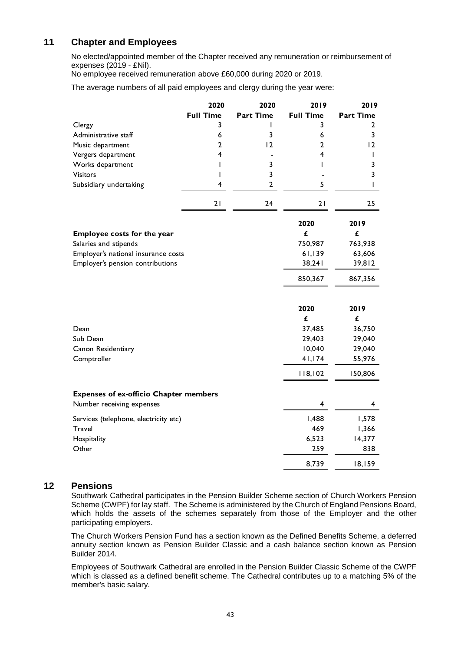## **11 Chapter and Employees**

No elected/appointed member of the Chapter received any remuneration or reimbursement of expenses (2019 - £Nil).

No employee received remuneration above £60,000 during 2020 or 2019.

The average numbers of all paid employees and clergy during the year were:

|                                                                            | 2020             | 2020                    | 2019             | 2019             |
|----------------------------------------------------------------------------|------------------|-------------------------|------------------|------------------|
|                                                                            | <b>Full Time</b> | <b>Part Time</b>        | <b>Full Time</b> | <b>Part Time</b> |
| Clergy                                                                     | 3                |                         | 3                | 2                |
| Administrative staff                                                       | 6                | 3                       | 6                | 3                |
| Music department                                                           | $\mathbf{2}$     | 2                       | 2                | 12               |
| Vergers department                                                         | 4                |                         | 4                | T                |
| Works department                                                           | I                | 3                       | L                | 3                |
| <b>Visitors</b>                                                            | I                | $\overline{\mathbf{3}}$ |                  | 3                |
| Subsidiary undertaking                                                     | 4                | $\overline{2}$          | 5                | T                |
|                                                                            | 21               | 24                      | 21               | 25               |
|                                                                            |                  |                         | 2020             | 2019             |
| Employee costs for the year                                                |                  |                         | £                | £                |
| Salaries and stipends                                                      |                  |                         | 750,987          | 763,938          |
| Employer's national insurance costs                                        |                  |                         | 61,139           | 63,606           |
| Employer's pension contributions                                           |                  |                         | 38,241           | 39,812           |
|                                                                            |                  |                         | 850,367          | 867,356          |
|                                                                            |                  |                         |                  |                  |
|                                                                            |                  |                         | 2020             | 2019             |
|                                                                            |                  |                         | £                | £                |
| Dean                                                                       |                  |                         | 37,485           | 36,750           |
| Sub Dean                                                                   |                  |                         | 29,403           | 29,040           |
| Canon Residentiary                                                         |                  |                         | 10,040           | 29,040           |
| Comptroller                                                                |                  |                         | 41,174           | 55,976           |
|                                                                            |                  |                         | 118,102          | 150,806          |
|                                                                            |                  |                         |                  |                  |
| <b>Expenses of ex-officio Chapter members</b><br>Number receiving expenses |                  |                         | 4                | 4                |
| Services (telephone, electricity etc)                                      |                  |                         | 1,488            | 1,578            |
| Travel                                                                     |                  |                         | 469              | 1,366            |
| Hospitality                                                                |                  |                         | 6,523            | 14,377           |
| Other                                                                      |                  |                         | 259              | 838              |
|                                                                            |                  |                         | 8,739            | 18,159           |

#### **12 Pensions**

Southwark Cathedral participates in the Pension Builder Scheme section of Church Workers Pension Scheme (CWPF) for lay staff. The Scheme is administered by the Church of England Pensions Board, which holds the assets of the schemes separately from those of the Employer and the other participating employers.

The Church Workers Pension Fund has a section known as the Defined Benefits Scheme, a deferred annuity section known as Pension Builder Classic and a cash balance section known as Pension Builder 2014.

Employees of Southwark Cathedral are enrolled in the Pension Builder Classic Scheme of the CWPF which is classed as a defined benefit scheme. The Cathedral contributes up to a matching 5% of the member's basic salary.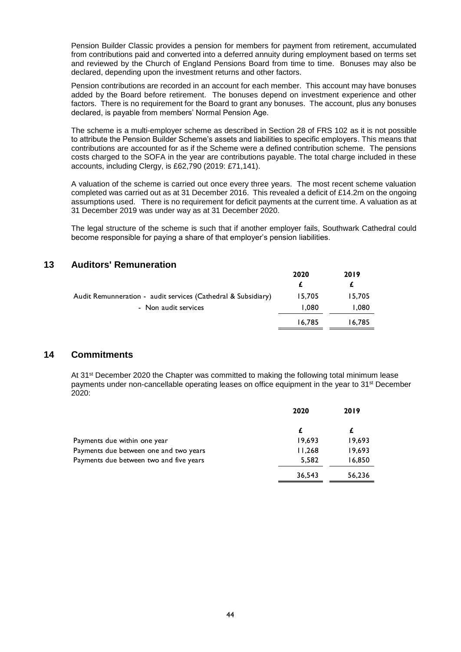Pension Builder Classic provides a pension for members for payment from retirement, accumulated from contributions paid and converted into a deferred annuity during employment based on terms set and reviewed by the Church of England Pensions Board from time to time. Bonuses may also be declared, depending upon the investment returns and other factors.

Pension contributions are recorded in an account for each member. This account may have bonuses added by the Board before retirement. The bonuses depend on investment experience and other factors. There is no requirement for the Board to grant any bonuses. The account, plus any bonuses declared, is payable from members' Normal Pension Age.

The scheme is a multi-employer scheme as described in Section 28 of FRS 102 as it is not possible to attribute the Pension Builder Scheme's assets and liabilities to specific employers. This means that contributions are accounted for as if the Scheme were a defined contribution scheme. The pensions costs charged to the SOFA in the year are contributions payable. The total charge included in these accounts, including Clergy, is £62,790 (2019: £71,141).

A valuation of the scheme is carried out once every three years. The most recent scheme valuation completed was carried out as at 31 December 2016. This revealed a deficit of £14.2m on the ongoing assumptions used. There is no requirement for deficit payments at the current time. A valuation as at 31 December 2019 was under way as at 31 December 2020.

The legal structure of the scheme is such that if another employer fails, Southwark Cathedral could become responsible for paying a share of that employer's pension liabilities.

|                                                               | 2020   | 2019   |
|---------------------------------------------------------------|--------|--------|
|                                                               |        |        |
| Audit Remunneration - audit services (Cathedral & Subsidiary) | 15.705 | 15.705 |
| - Non audit services                                          | 1.080  | 080, ا |
|                                                               | 16.785 | 16.785 |

## **13 Auditors' Remuneration**

### **14 Commitments**

At 31st December 2020 the Chapter was committed to making the following total minimum lease payments under non-cancellable operating leases on office equipment in the year to 31st December 2020:

|                                         | 2020   | 2019   |
|-----------------------------------------|--------|--------|
|                                         | £      |        |
| Payments due within one year            | 19,693 | 19,693 |
| Payments due between one and two years  | 11,268 | 19,693 |
| Payments due between two and five years | 5,582  | 16,850 |
|                                         | 36,543 | 56,236 |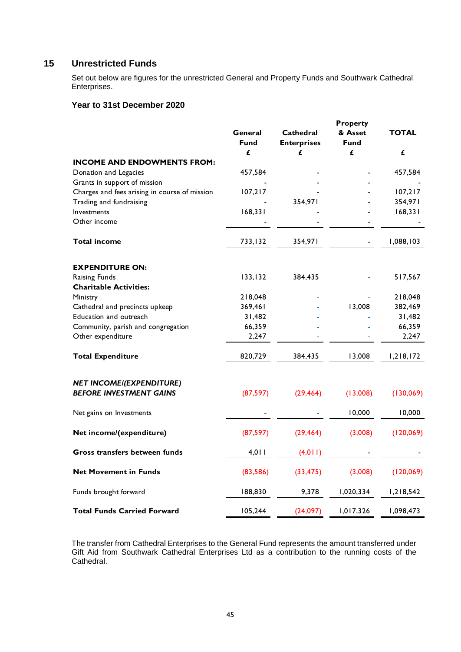## **15 Unrestricted Funds**

Set out below are figures for the unrestricted General and Property Funds and Southwark Cathedral Enterprises.

### **Year to 31st December 2020**

|                                                                   | General<br><b>Fund</b><br>£ | <b>Cathedral</b><br><b>Enterprises</b><br>£ | <b>Property</b><br>& Asset<br>Fund<br>£ | <b>TOTAL</b><br>£ |
|-------------------------------------------------------------------|-----------------------------|---------------------------------------------|-----------------------------------------|-------------------|
| <b>INCOME AND ENDOWMENTS FROM:</b>                                |                             |                                             |                                         |                   |
| Donation and Legacies                                             | 457,584                     |                                             |                                         | 457,584           |
| Grants in support of mission                                      |                             |                                             |                                         |                   |
| Charges and fees arising in course of mission                     | 107,217                     |                                             |                                         | 107,217           |
| Trading and fundraising                                           |                             | 354,971                                     |                                         | 354,971           |
| Investments                                                       | 168,331                     |                                             |                                         | 168,331           |
| Other income                                                      |                             |                                             |                                         |                   |
| Total income                                                      | 733,132                     | 354,971                                     |                                         | 1,088,103         |
| <b>EXPENDITURE ON:</b>                                            |                             |                                             |                                         |                   |
| Raising Funds                                                     | 133, 132                    | 384,435                                     |                                         | 517,567           |
| <b>Charitable Activities:</b>                                     |                             |                                             |                                         |                   |
| Ministry                                                          | 218,048                     |                                             |                                         | 218,048           |
| Cathedral and precincts upkeep                                    | 369,461                     |                                             | 13,008                                  | 382,469           |
| Education and outreach                                            | 31,482                      |                                             |                                         | 31,482            |
| Community, parish and congregation                                | 66,359                      |                                             |                                         | 66,359            |
| Other expenditure                                                 | 2,247                       |                                             |                                         | 2,247             |
| <b>Total Expenditure</b>                                          | 820,729                     | 384,435                                     | 13,008                                  | 1,218,172         |
| <b>NET INCOME/(EXPENDITURE)</b><br><b>BEFORE INVESTMENT GAINS</b> | (87, 597)                   | (29, 464)                                   | (13,008)                                | (130,069)         |
| Net gains on Investments                                          |                             |                                             | 10,000                                  | 10,000            |
| Net income/(expenditure)                                          | (87, 597)                   | (29, 464)                                   | (3,008)                                 | (120,069)         |
| Gross transfers between funds                                     | 4,011                       | (4, 011)                                    |                                         |                   |
| <b>Net Movement in Funds</b>                                      | (83,586)                    | (33, 475)                                   | (3,008)                                 | (120,069)         |
| Funds brought forward                                             | 188,830                     | 9,378                                       | 1,020,334                               | 1,218,542         |
| <b>Total Funds Carried Forward</b>                                | 105,244                     | (24,097)                                    | 1,017,326                               | 1,098,473         |

The transfer from Cathedral Enterprises to the General Fund represents the amount transferred under Gift Aid from Southwark Cathedral Enterprises Ltd as a contribution to the running costs of the Cathedral.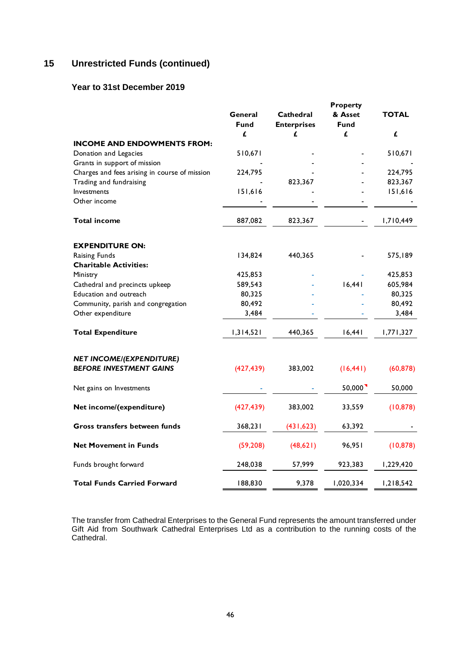## **15 Unrestricted Funds (continued)**

### **Year to 31st December 2019**

|                                               |                 | <b>Property</b>                 |                        |           |  |
|-----------------------------------------------|-----------------|---------------------------------|------------------------|-----------|--|
|                                               | General<br>Fund | Cathedral<br><b>Enterprises</b> | & Asset<br><b>Fund</b> | TOTAL     |  |
|                                               | £               | £                               | £                      | £         |  |
| <b>INCOME AND ENDOWMENTS FROM:</b>            |                 |                                 |                        |           |  |
| Donation and Legacies                         | 510,671         |                                 |                        | 510,671   |  |
| Grants in support of mission                  |                 |                                 |                        |           |  |
| Charges and fees arising in course of mission | 224,795         |                                 |                        | 224,795   |  |
| Trading and fundraising                       |                 | 823,367                         |                        | 823,367   |  |
| Investments                                   | 151,616         |                                 |                        | 151,616   |  |
| Other income                                  |                 |                                 |                        |           |  |
| <b>Total income</b>                           | 887,082         | 823.367                         |                        | 1,710,449 |  |
| <b>EXPENDITURE ON:</b>                        |                 |                                 |                        |           |  |
| Raising Funds                                 | 134,824         | 440,365                         |                        | 575,189   |  |
| <b>Charitable Activities:</b>                 |                 |                                 |                        |           |  |
| Ministry                                      | 425,853         |                                 |                        | 425,853   |  |
| Cathedral and precincts upkeep                | 589,543         |                                 | 16,441                 | 605,984   |  |
| Education and outreach                        | 80,325          |                                 |                        | 80,325    |  |
| Community, parish and congregation            | 80,492          |                                 |                        | 80,492    |  |
| Other expenditure                             | 3,484           |                                 |                        | 3,484     |  |
| <b>Total Expenditure</b>                      | 1,314,521       | 440,365                         | 16,441                 | 1,771,327 |  |
| <b>NET INCOME/(EXPENDITURE)</b>               |                 |                                 |                        |           |  |
| <b>BEFORE INVESTMENT GAINS</b>                | (427, 439)      | 383,002                         | (16, 441)              | (60, 878) |  |
| Net gains on Investments                      |                 |                                 | $50,000$ <sup>-</sup>  | 50,000    |  |
| Net income/(expenditure)                      | (427, 439)      | 383,002                         | 33,559                 | (10, 878) |  |
| Gross transfers between funds                 | 368,231         | (431, 623)                      | 63,392                 |           |  |
| <b>Net Movement in Funds</b>                  | (59, 208)       | (48,621)                        | 96,951                 | (10, 878) |  |
| Funds brought forward                         | 248,038         | 57,999                          | 923,383                | 1,229,420 |  |
| <b>Total Funds Carried Forward</b>            | 188,830         | 9,378                           | 1,020,334              | 1,218,542 |  |

The transfer from Cathedral Enterprises to the General Fund represents the amount transferred under Gift Aid from Southwark Cathedral Enterprises Ltd as a contribution to the running costs of the Cathedral.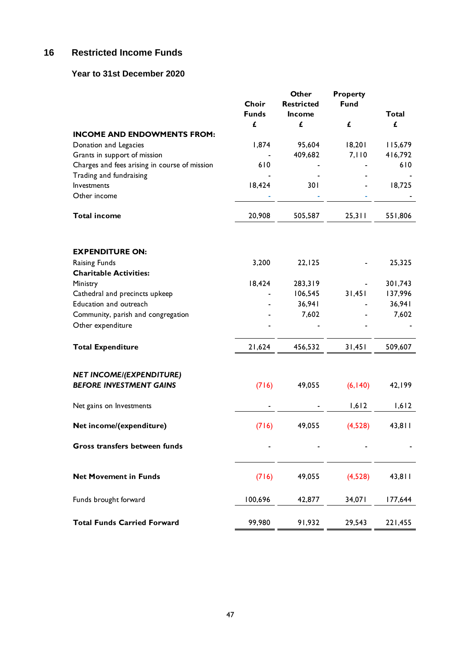## **16 Restricted Income Funds**

|                                               | Choir<br><b>Funds</b><br>£ | Other<br><b>Restricted</b><br>Income<br>£ | <b>Property</b><br>Fund<br>£ | <b>Total</b><br>£ |
|-----------------------------------------------|----------------------------|-------------------------------------------|------------------------------|-------------------|
| <b>INCOME AND ENDOWMENTS FROM:</b>            |                            |                                           |                              |                   |
| Donation and Legacies                         | 1,874                      | 95,604                                    | 18,201                       | 115,679           |
| Grants in support of mission                  |                            | 409,682                                   | 7,110                        | 416,792           |
| Charges and fees arising in course of mission | 610                        |                                           |                              | 610               |
| Trading and fundraising                       |                            |                                           |                              |                   |
| Investments                                   | 18,424                     | 301                                       |                              | 18,725            |
| Other income                                  |                            |                                           |                              |                   |
| <b>Total income</b>                           | 20,908                     | 505,587                                   | 25,311                       | 551,806           |
| <b>EXPENDITURE ON:</b>                        |                            |                                           |                              |                   |
| Raising Funds                                 | 3,200                      | 22, 125                                   |                              | 25,325            |
| <b>Charitable Activities:</b>                 |                            |                                           |                              |                   |
| Ministry                                      | 18,424                     | 283,319                                   |                              | 301,743           |
| Cathedral and precincts upkeep                |                            | 106,545                                   | 31,451                       | 137,996           |
| Education and outreach                        |                            | 36,941                                    |                              | 36,941            |
| Community, parish and congregation            |                            | 7,602                                     |                              | 7,602             |
| Other expenditure                             |                            |                                           |                              |                   |
| <b>Total Expenditure</b>                      | 21,624                     | 456,532                                   | 31,451                       | 509,607           |
| <b>NET INCOME/(EXPENDITURE)</b>               |                            |                                           |                              |                   |
| <b>BEFORE INVESTMENT GAINS</b>                | (716)                      | 49,055                                    | (6, 140)                     | 42,199            |
| Net gains on Investments                      |                            |                                           | 1,612                        | 1,612             |
| Net income/(expenditure)                      | (716)                      | 49,055                                    | (4,528)                      | 43,811            |
| Gross transfers between funds                 |                            |                                           |                              |                   |
| <b>Net Movement in Funds</b>                  | (716)                      | 49,055                                    | (4,528)                      | 43,811            |
| Funds brought forward                         | 100,696                    | 42,877                                    | 34,071                       | 177,644           |
| <b>Total Funds Carried Forward</b>            | 99,980                     | 91,932                                    | 29,543                       | 221,455           |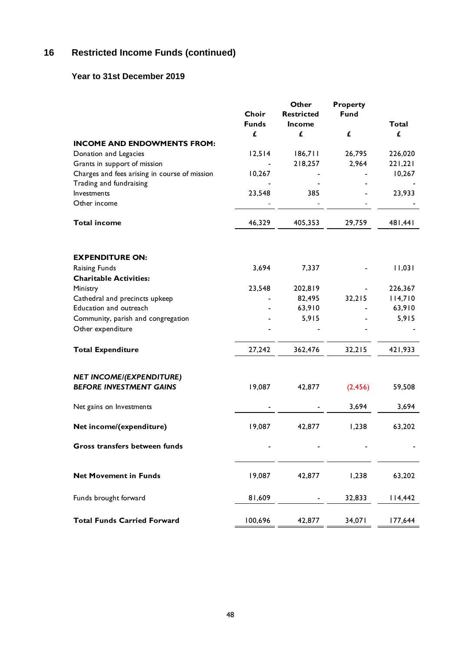## **16 Restricted Income Funds (continued)**

|                                                                          | Choir<br><b>Funds</b> | <b>Other</b><br><b>Restricted</b><br><b>Income</b> | <b>Property</b><br><b>Fund</b> | <b>Total</b> |
|--------------------------------------------------------------------------|-----------------------|----------------------------------------------------|--------------------------------|--------------|
|                                                                          | £                     | £                                                  | £                              | £            |
| <b>INCOME AND ENDOWMENTS FROM:</b>                                       |                       |                                                    |                                |              |
| Donation and Legacies                                                    | 12,514                | 186,711                                            | 26,795                         | 226,020      |
| Grants in support of mission                                             |                       | 218,257                                            | 2,964                          | 1221,221     |
| Charges and fees arising in course of mission<br>Trading and fundraising | 10,267                |                                                    |                                | 10,267       |
| Investments                                                              | 23,548                | 385                                                |                                | 23,933       |
| Other income                                                             |                       |                                                    |                                |              |
| <b>Total income</b>                                                      | 46,329                | 405,353                                            | 29,759                         | 481,441      |
| <b>EXPENDITURE ON:</b>                                                   |                       |                                                    |                                |              |
| Raising Funds                                                            | 3,694                 | 7,337                                              |                                | 11,031       |
| <b>Charitable Activities:</b>                                            |                       |                                                    |                                |              |
| Ministry                                                                 | 23,548                | 202,819                                            |                                | 226,367      |
| Cathedral and precincts upkeep                                           |                       | 82,495                                             | 32,215                         | 114,710      |
| Education and outreach                                                   |                       | 63,910                                             |                                | 63,910       |
| Community, parish and congregation                                       |                       | 5,915                                              |                                | 5,915        |
| Other expenditure                                                        |                       |                                                    |                                |              |
| <b>Total Expenditure</b>                                                 | 27,242                | 362,476                                            | 32,215                         | 421,933      |
| <b>NET INCOME/(EXPENDITURE)</b>                                          |                       |                                                    |                                |              |
| <b>BEFORE INVESTMENT GAINS</b>                                           | 19,087                | 42,877                                             | (2, 456)                       | 59,508       |
|                                                                          |                       |                                                    |                                |              |
| Net gains on Investments                                                 |                       |                                                    | 3,694                          | 3,694        |
| Net income/(expenditure)                                                 | 19,087                | 42,877                                             | 1,238                          | 63,202       |
| Gross transfers between funds                                            |                       |                                                    |                                |              |
| <b>Net Movement in Funds</b>                                             | 19,087                | 42,877                                             | 1,238                          | 63,202       |
| Funds brought forward                                                    | 81,609                |                                                    | 32,833                         | 114,442      |
| <b>Total Funds Carried Forward</b>                                       | 100,696               | 42,877                                             | 34,071                         | 177,644      |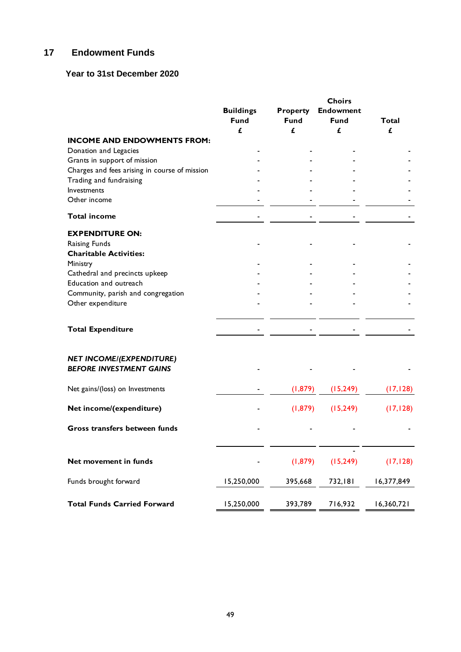## **17 Endowment Funds**

|                                                                   | <b>Buildings</b><br><b>Fund</b><br>£ | <b>Property</b><br><b>Fund</b><br>£ | <b>Choirs</b><br><b>Endowment</b><br>Fund<br>£ | <b>Total</b><br>£ |
|-------------------------------------------------------------------|--------------------------------------|-------------------------------------|------------------------------------------------|-------------------|
| <b>INCOME AND ENDOWMENTS FROM:</b>                                |                                      |                                     |                                                |                   |
| Donation and Legacies                                             |                                      |                                     |                                                |                   |
| Grants in support of mission                                      |                                      |                                     |                                                |                   |
| Charges and fees arising in course of mission                     |                                      |                                     |                                                |                   |
| Trading and fundraising                                           |                                      |                                     |                                                |                   |
| Investments                                                       |                                      |                                     |                                                |                   |
| Other income                                                      |                                      |                                     |                                                |                   |
| <b>Total income</b>                                               |                                      |                                     |                                                |                   |
| <b>EXPENDITURE ON:</b>                                            |                                      |                                     |                                                |                   |
| Raising Funds                                                     |                                      |                                     |                                                |                   |
| <b>Charitable Activities:</b>                                     |                                      |                                     |                                                |                   |
| Ministry                                                          |                                      |                                     |                                                |                   |
| Cathedral and precincts upkeep                                    |                                      |                                     |                                                |                   |
| Education and outreach                                            |                                      |                                     |                                                |                   |
| Community, parish and congregation                                |                                      |                                     |                                                |                   |
| Other expenditure                                                 |                                      |                                     |                                                |                   |
| <b>Total Expenditure</b>                                          |                                      |                                     |                                                |                   |
| <b>NET INCOME/(EXPENDITURE)</b><br><b>BEFORE INVESTMENT GAINS</b> |                                      |                                     |                                                |                   |
| Net gains/(loss) on Investments                                   |                                      | (1, 879)                            | (15, 249)                                      | (17, 128)         |
| Net income/(expenditure)                                          |                                      | (1, 879)                            | (15, 249)                                      | (17, 128)         |
| Gross transfers between funds                                     |                                      |                                     |                                                |                   |
| Net movement in funds                                             |                                      | (1,879)                             | (15, 249)                                      | (17, 128)         |
| Funds brought forward                                             | 15,250,000                           | 395,668                             | 732,181                                        | 16,377,849        |
| <b>Total Funds Carried Forward</b>                                | 15,250,000                           | 393,789                             | 716,932                                        | 16,360,721        |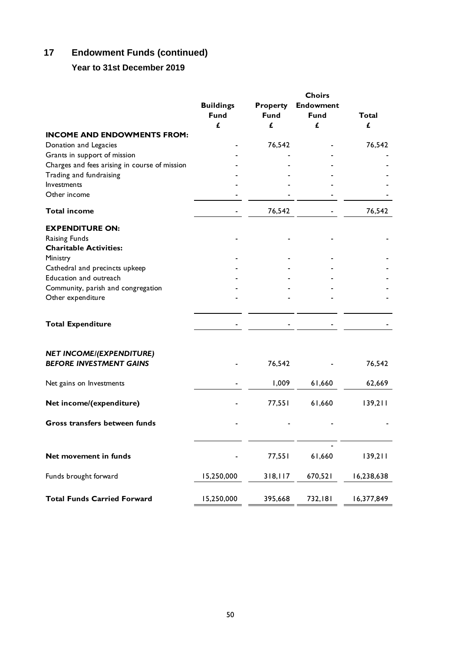## **17 Endowment Funds (continued)**

|                                               | <b>Choirs</b>    |                 |                  |              |  |
|-----------------------------------------------|------------------|-----------------|------------------|--------------|--|
|                                               | <b>Buildings</b> | <b>Property</b> | <b>Endowment</b> |              |  |
|                                               | Fund             | <b>Fund</b>     | Fund             | <b>Total</b> |  |
|                                               | £                | £               | £                | £            |  |
|                                               |                  |                 |                  |              |  |
| <b>INCOME AND ENDOWMENTS FROM:</b>            |                  |                 |                  |              |  |
| Donation and Legacies                         |                  | 76,542          |                  | 76,542       |  |
| Grants in support of mission                  |                  |                 |                  |              |  |
| Charges and fees arising in course of mission |                  |                 |                  |              |  |
| Trading and fundraising                       |                  |                 |                  |              |  |
| Investments                                   |                  |                 |                  |              |  |
|                                               |                  |                 |                  |              |  |
| Other income                                  |                  |                 |                  |              |  |
| <b>Total income</b>                           |                  | 76,542          |                  | 76,542       |  |
| <b>EXPENDITURE ON:</b>                        |                  |                 |                  |              |  |
| Raising Funds                                 |                  |                 |                  |              |  |
| <b>Charitable Activities:</b>                 |                  |                 |                  |              |  |
| Ministry                                      |                  |                 |                  |              |  |
|                                               |                  |                 |                  |              |  |
| Cathedral and precincts upkeep                |                  |                 |                  |              |  |
| Education and outreach                        |                  |                 |                  |              |  |
| Community, parish and congregation            |                  |                 |                  |              |  |
| Other expenditure                             |                  |                 |                  |              |  |
|                                               |                  |                 |                  |              |  |
|                                               |                  |                 |                  |              |  |
| <b>Total Expenditure</b>                      |                  |                 |                  |              |  |
|                                               |                  |                 |                  |              |  |
| <b>NET INCOME/(EXPENDITURE)</b>               |                  |                 |                  |              |  |
| <b>BEFORE INVESTMENT GAINS</b>                |                  | 76,542          |                  | 76,542       |  |
|                                               |                  |                 |                  |              |  |
| Net gains on Investments                      |                  | 1,009           | 61,660           | 62,669       |  |
| Net income/(expenditure)                      |                  | 77,551          | 61,660           | 139,211      |  |
|                                               |                  |                 |                  |              |  |
| Gross transfers between funds                 |                  |                 |                  |              |  |
|                                               |                  |                 |                  |              |  |
| Net movement in funds                         |                  | 77,551          | 61,660           | 139,211      |  |
|                                               |                  |                 |                  |              |  |
| Funds brought forward                         | 15,250,000       | 318,117         | 670,521          | 16,238,638   |  |
| <b>Total Funds Carried Forward</b>            | 15,250,000       | 395,668         | 732,181          | 16,377,849   |  |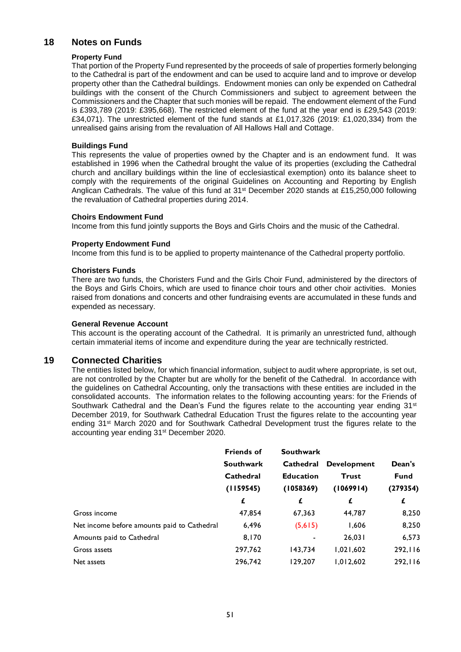### **18 Notes on Funds**

#### **Property Fund**

That portion of the Property Fund represented by the proceeds of sale of properties formerly belonging to the Cathedral is part of the endowment and can be used to acquire land and to improve or develop property other than the Cathedral buildings. Endowment monies can only be expended on Cathedral buildings with the consent of the Church Commissioners and subject to agreement between the Commissioners and the Chapter that such monies will be repaid. The endowment element of the Fund is £393,789 (2019: £395,668). The restricted element of the fund at the year end is £29,543 (2019: £34,071). The unrestricted element of the fund stands at £1,017,326 (2019: £1,020,334) from the unrealised gains arising from the revaluation of All Hallows Hall and Cottage.

#### **Buildings Fund**

This represents the value of properties owned by the Chapter and is an endowment fund. It was established in 1996 when the Cathedral brought the value of its properties (excluding the Cathedral church and ancillary buildings within the line of ecclesiastical exemption) onto its balance sheet to comply with the requirements of the original Guidelines on Accounting and Reporting by English Anglican Cathedrals. The value of this fund at 31st December 2020 stands at £15,250,000 following the revaluation of Cathedral properties during 2014.

#### **Choirs Endowment Fund**

Income from this fund jointly supports the Boys and Girls Choirs and the music of the Cathedral.

#### **Property Endowment Fund**

Income from this fund is to be applied to property maintenance of the Cathedral property portfolio.

#### **Choristers Funds**

There are two funds, the Choristers Fund and the Girls Choir Fund, administered by the directors of the Boys and Girls Choirs, which are used to finance choir tours and other choir activities. Monies raised from donations and concerts and other fundraising events are accumulated in these funds and expended as necessary.

#### **General Revenue Account**

This account is the operating account of the Cathedral. It is primarily an unrestricted fund, although certain immaterial items of income and expenditure during the year are technically restricted.

### **19 Connected Charities**

The entities listed below, for which financial information, subject to audit where appropriate, is set out, are not controlled by the Chapter but are wholly for the benefit of the Cathedral. In accordance with the guidelines on Cathedral Accounting, only the transactions with these entities are included in the consolidated accounts. The information relates to the following accounting years: for the Friends of Southwark Cathedral and the Dean's Fund the figures relate to the accounting year ending  $31<sup>st</sup>$ December 2019, for Southwark Cathedral Education Trust the figures relate to the accounting year ending 31st March 2020 and for Southwark Cathedral Development trust the figures relate to the accounting year ending 31st December 2020.

|                                             | <b>Friends of</b>                          | <b>Southwark</b> |                    |              |             |
|---------------------------------------------|--------------------------------------------|------------------|--------------------|--------------|-------------|
|                                             | <b>Southwark</b><br>Cathedral<br>(1159545) | <b>Cathedral</b> | <b>Development</b> | Dean's       |             |
|                                             |                                            |                  | <b>Education</b>   | <b>Trust</b> | <b>Fund</b> |
|                                             |                                            | (1058369)        | (1069914)          | (279354)     |             |
|                                             | £                                          | £                | £                  | £            |             |
| Gross income                                | 47,854                                     | 67,363           | 44,787             | 8,250        |             |
| Net income before amounts paid to Cathedral | 6,496                                      | (5,615)          | 1,606              | 8,250        |             |
| Amounts paid to Cathedral                   | 8,170                                      |                  | 26,031             | 6,573        |             |
| Gross assets                                | 297,762                                    | 143.734          | 1,021,602          | 292,116      |             |
| Net assets                                  | 296,742                                    | 129.207          | 1,012,602          | 292,116      |             |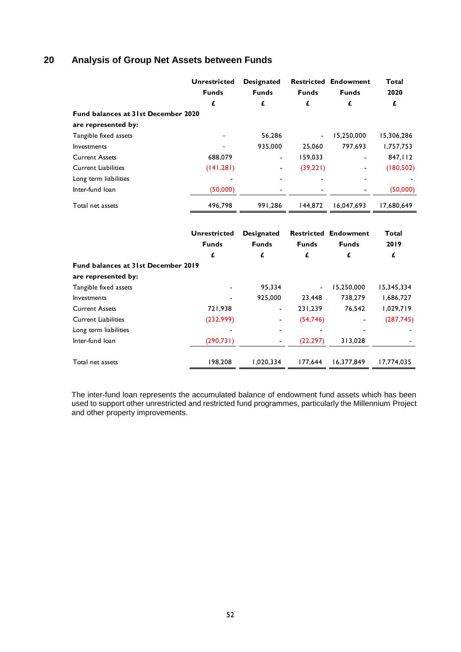## **20 Analysis of Group Net Assets between Funds**

|                                            | <b>Unrestricted</b><br><b>Funds</b> | Designated<br><b>Funds</b> | <b>Funds</b>   | <b>Restricted Endowment</b><br><b>Funds</b> | <b>Total</b><br>2020 |
|--------------------------------------------|-------------------------------------|----------------------------|----------------|---------------------------------------------|----------------------|
|                                            | £                                   | £                          | £              | £                                           | £                    |
| <b>Fund balances at 31st December 2020</b> |                                     |                            |                |                                             |                      |
| are represented by:                        |                                     |                            |                |                                             |                      |
| Tangible fixed assets                      |                                     | 56,286                     | $\blacksquare$ | 15,250,000                                  | 15,306,286           |
| Investments                                |                                     | 935,000                    | 25,060         | 797,693                                     | 1,757,753            |
| <b>Current Assets</b>                      | 688,079                             | -                          | 159,033        |                                             | 847, II2             |
| <b>Current Liabilities</b>                 | (141, 281)                          | ۰                          | (39, 221)      |                                             | (180, 502)           |
| Long term liabilities                      |                                     |                            |                |                                             |                      |
| Inter-fund loan                            | (50,000)                            |                            |                |                                             | (50,000)             |
| Total net assets                           | 496,798                             | 991.286                    | 144.872        | 16.047.693                                  | 17,680,649           |
|                                            |                                     |                            |                |                                             |                      |

|                                     | <b>Unrestricted</b> | <b>Designated</b>        |              | <b>Restricted Endowment</b> | <b>Total</b> |
|-------------------------------------|---------------------|--------------------------|--------------|-----------------------------|--------------|
|                                     | <b>Funds</b>        | <b>Funds</b>             | <b>Funds</b> | <b>Funds</b>                | 2019         |
|                                     | £                   | £                        | £            | £                           | £            |
| Fund balances at 31st December 2019 |                     |                          |              |                             |              |
| are represented by:                 |                     |                          |              |                             |              |
| Tangible fixed assets               |                     | 95.334                   | ۰            | 15,250,000                  | 15,345,334   |
| Investments                         |                     | 925.000                  | 23,448       | 738,279                     | 1,686,727    |
| <b>Current Assets</b>               | 721,938             | $\blacksquare$           | 231,239      | 76,542                      | 1,029,719    |
| <b>Current Liabilities</b>          | (232,999)           | ۰                        | (54, 746)    |                             | (287, 745)   |
| Long term liabilities               |                     | $\overline{\phantom{0}}$ |              |                             |              |
| Inter-fund loan                     | (290, 731)          |                          | (22, 297)    | 313,028                     |              |
|                                     |                     |                          |              |                             |              |
| Total net assets                    | 198,208             | 1,020,334                | 177.644      | 16.377.849                  | 17,774,035   |

The inter-fund loan represents the accumulated balance of endowment fund assets which has been used to support other unrestricted and restricted fund programmes, particularly the Millennium Project and other property improvements.